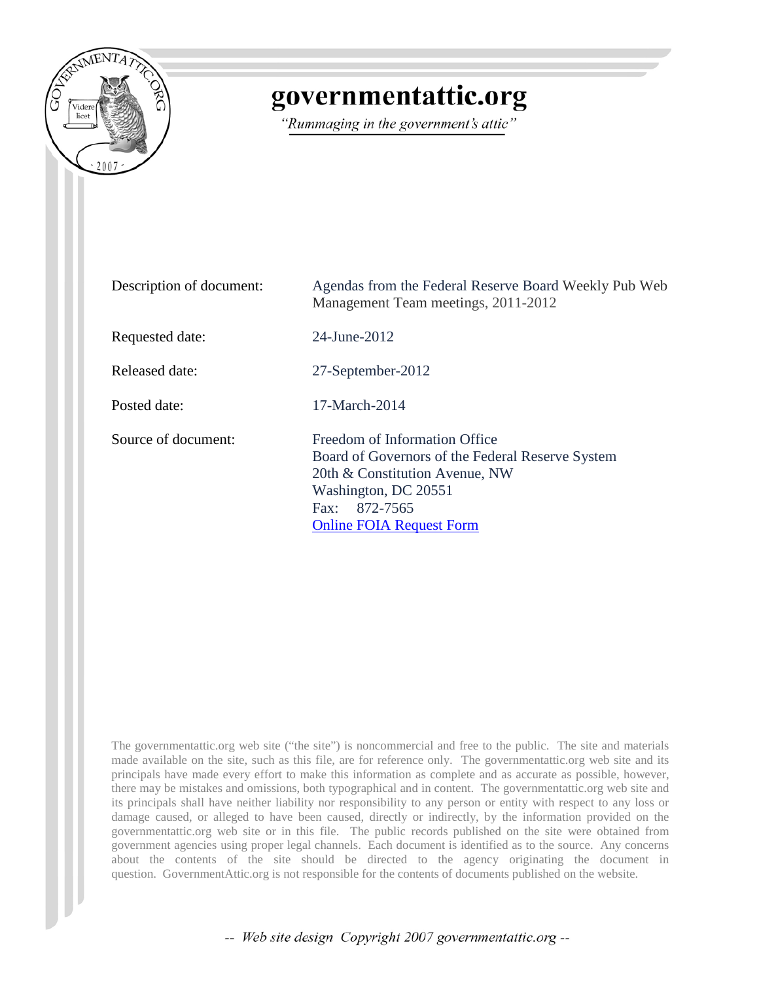

# governmentattic.org

"Rummaging in the government's attic"

| Description of document: | Agendas from the Federal Reserve Board Weekly Pub Web<br>Management Team meetings, 2011-2012                                                                                                    |
|--------------------------|-------------------------------------------------------------------------------------------------------------------------------------------------------------------------------------------------|
| Requested date:          | 24-June-2012                                                                                                                                                                                    |
| Released date:           | 27-September-2012                                                                                                                                                                               |
| Posted date:             | 17-March-2014                                                                                                                                                                                   |
| Source of document:      | Freedom of Information Office<br>Board of Governors of the Federal Reserve System<br>20th & Constitution Avenue, NW<br>Washington, DC 20551<br>Fax: 872-7565<br><b>Online FOIA Request Form</b> |

The governmentattic.org web site ("the site") is noncommercial and free to the public. The site and materials made available on the site, such as this file, are for reference only. The governmentattic.org web site and its principals have made every effort to make this information as complete and as accurate as possible, however, there may be mistakes and omissions, both typographical and in content. The governmentattic.org web site and its principals shall have neither liability nor responsibility to any person or entity with respect to any loss or damage caused, or alleged to have been caused, directly or indirectly, by the information provided on the governmentattic.org web site or in this file. The public records published on the site were obtained from government agencies using proper legal channels. Each document is identified as to the source. Any concerns about the contents of the site should be directed to the agency originating the document in question. GovernmentAttic.org is not responsible for the contents of documents published on the website.

-- Web site design Copyright 2007 governmentattic.org --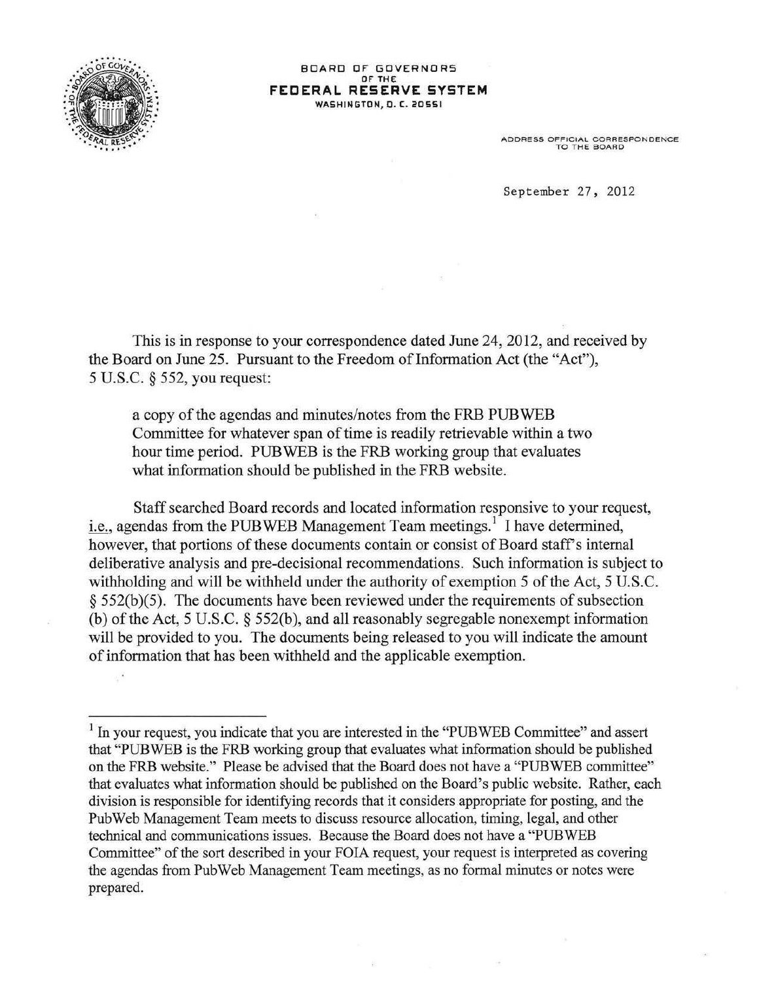

BOARD OF GOVERNORS or THE **FEDERAL RESERVE SYSTEM**  WASHINGTON, D. C. 20551

ADDRESS OFFICIAL CORRESPONDENCE

September 27, 2012

This is in response to your correspondence dated June 24, 2012, and received by the Board on June 25. Pursuant to the Freedom of Information Act (the "Act"), 5 U.S.C. § 552, you request:

a copy of the agendas and minutes/notes from the FRB PUBWEB Committee for whatever span of time is readily retrievable within a two hour time period. PUB WEB is the FRB working group that evaluates what information should be published in the FRB website.

Staff searched Board records and located information responsive to your request, i.e., agendas from the PUBWEB Management Team meetings.<sup>1</sup> I have determined, however, that portions of these documents contain or consist of Board staff's internal deliberative analysis and pre-decisional recommendations. Such information is subject to withholding and will be withheld under the authority of exemption 5 of the Act, 5 U.S.C.  $§$  552(b)(5). The documents have been reviewed under the requirements of subsection (b) of the Act, 5 U.S.C. § 552(b), and all reasonably segregable nonexempt information will be provided to you. The documents being released to you will indicate the amount of information that has been withheld and the applicable exemption.

<sup>&</sup>lt;sup>1</sup> In your request, you indicate that you are interested in the "PUBWEB Committee" and assert that "PUBWEB is the FRB working group that evaluates what information should be published on the FRB website." Please be advised that the Board does not have a "PUBWEB committee" that evaluates what information should be published on the Board's public website. Rather, each division is responsible for identifying records that it considers appropriate for posting, and the Pub Web Management Team meets to discuss resource allocation, timing, legal, and other technical and communications issues. Because the Board does not have a "PUB WEB Committee" of the sort described in your FOIA request, your request is interpreted as covering the agendas from Pub Web Management Team meetings, as no formal minutes or notes were prepared.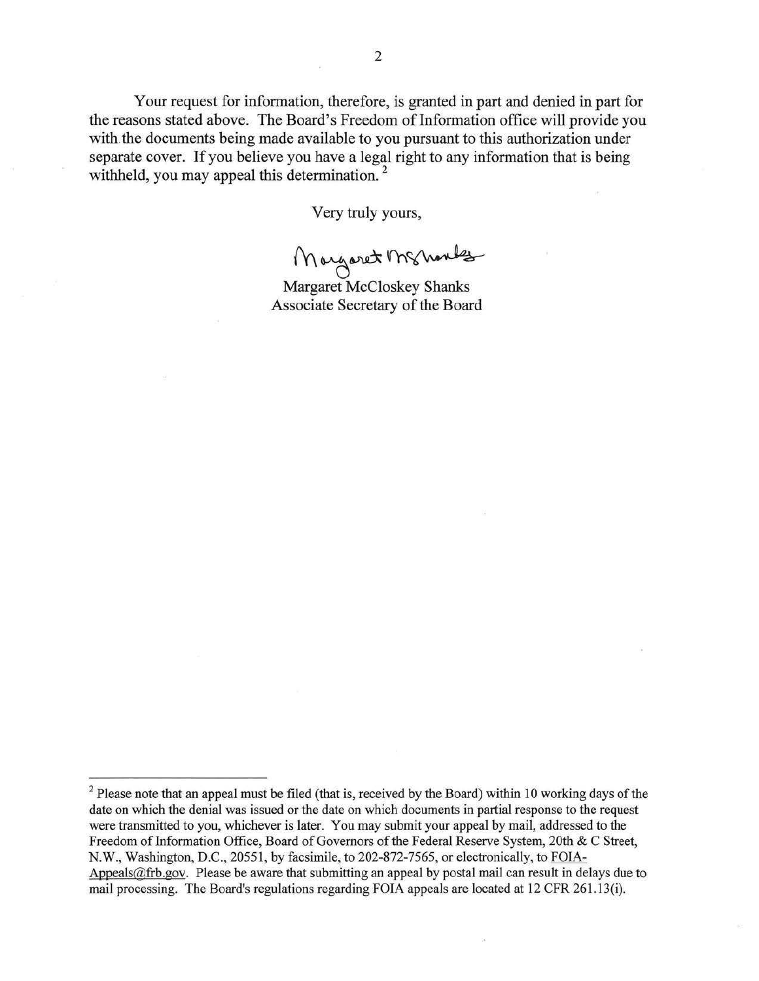Your request for information, therefore, is granted in part and denied in part for the reasons stated above. The Board's Freedom of Information office will provide you with the documents being made available to you pursuant to this authorization under separate cover. If you believe you have a legal right to any information that is being withheld, you may appeal this determination.<sup>2</sup>

Very truly yours,

Margaret Mgnoster

Margaret McCloskey Shanks Associate Secretary of the Board

<sup>&</sup>lt;sup>2</sup> Please note that an appeal must be filed (that is, received by the Board) within 10 working days of the date on which the denial was issued or the date on which documents in partial response to the request were transmitted to you, whichever is later. You may submit your appeal by mail, addressed to the Freedom of Information Office, Board of Governors of the Federal Reserve System, 20th & C Street, N.W., Washington, D.C., 20551, by facsimile, to 202-872-7565, or electronically, to FOIA-Appeals@frb.gov. Please be aware that submitting an appeal by postal mail can result in delays due to mail processing. The Board's regulations regarding FOIA appeals are located at 12 CFR 261 .13(i).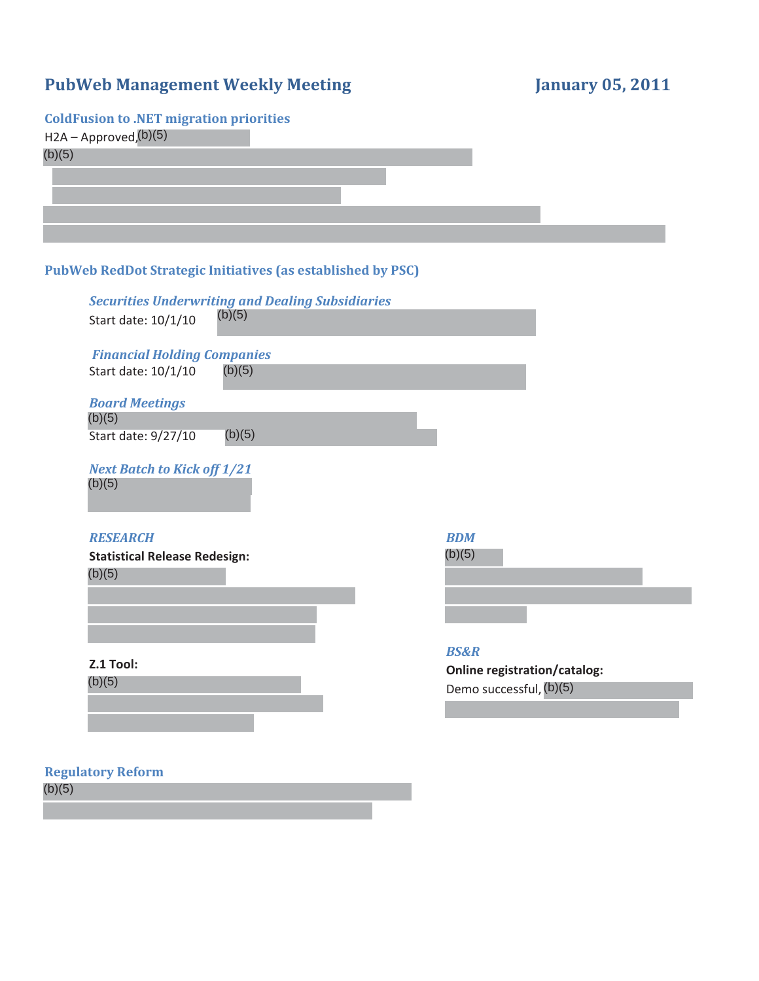# PubWeb Management Weekly Meeting **January 05, 2011**

### **ColdFusion to .NET migration priorities**



### **PubWeb RedDot Strategic Initiatives (as established by PSC)**

| <b>Securities Underwriting and Dealing Subsidiaries</b> |                                     |
|---------------------------------------------------------|-------------------------------------|
| (b)(5)<br>Start date: 10/1/10                           |                                     |
| <b>Financial Holding Companies</b>                      |                                     |
| (b)(5)<br>Start date: 10/1/10                           |                                     |
| <b>Board Meetings</b>                                   |                                     |
| (b)(5)                                                  |                                     |
| (b)(5)<br>Start date: 9/27/10                           |                                     |
| <b>Next Batch to Kick off 1/21</b><br>(b)(5)            |                                     |
| <b>RESEARCH</b>                                         | <b>BDM</b>                          |
| <b>Statistical Release Redesign:</b>                    | (b)(5)                              |
| (b)(5)                                                  |                                     |
|                                                         |                                     |
|                                                         |                                     |
|                                                         |                                     |
|                                                         | <b>BS&amp;R</b>                     |
| Z.1 Tool:                                               | <b>Online registration/catalog:</b> |
| (b)(5)                                                  | Demo successful, (b)(5)             |
|                                                         |                                     |
|                                                         |                                     |
|                                                         |                                     |

### **Regulatory Reform**

(b)(5)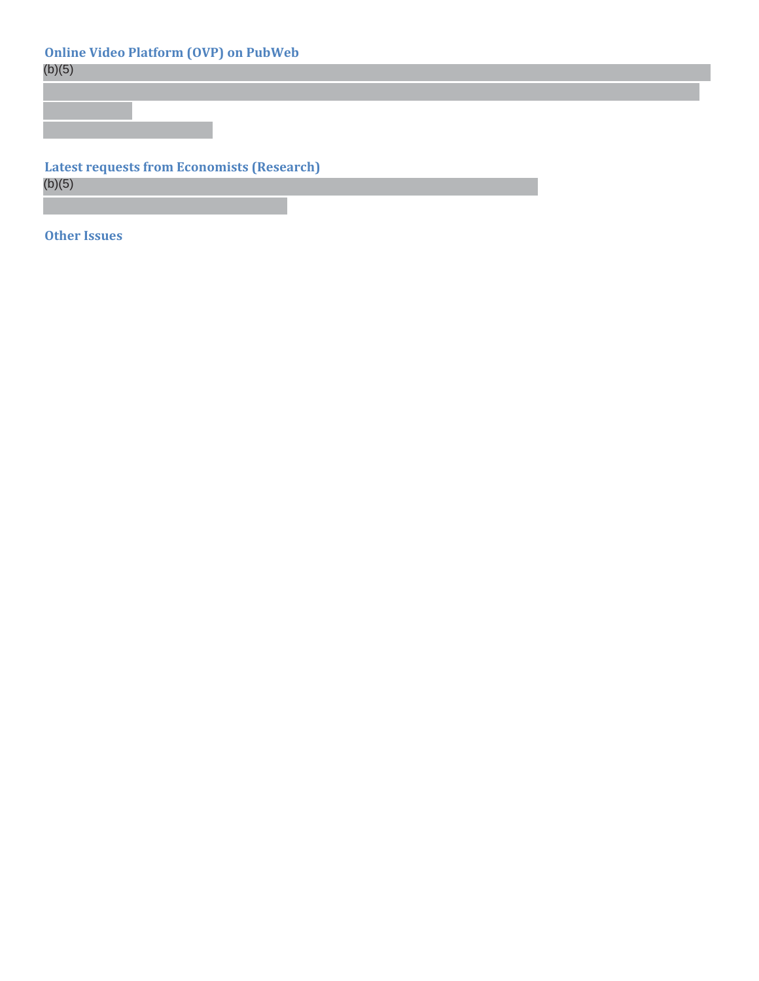### **Online Video Platform (OVP) on PubWeb**  (b)(5)

**Latest requests from Economists (Research)** (b)(5)

**Other Issues**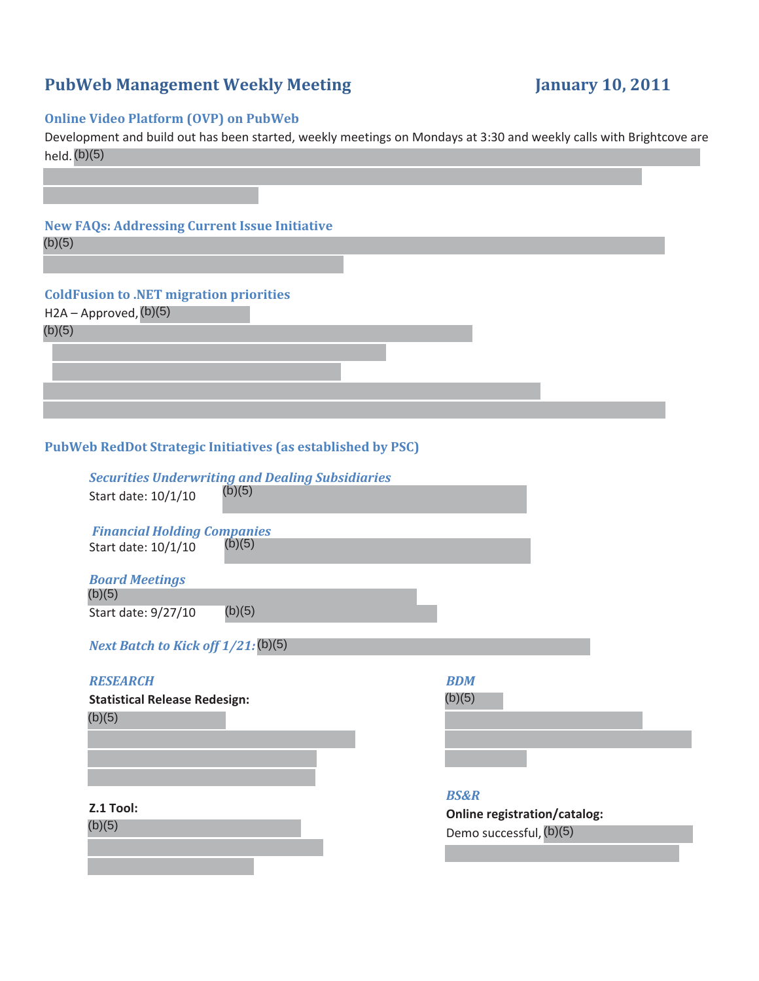### PubWeb Management Weekly Meeting **January 10, 2011**

### **Online Video Platform (OVP) on PubWeb**

Development and build out has been started, weekly meetings on Mondays at 3:30 and weekly calls with Brightcove are held. (b)(5)

### **New FAQs: Addressing Current Issue Initiative**   $(h)/F$

### **ColdFusion to .NET migration priorities**

H2A – Approved, (b)(5)

 $(b)(5)$ 

### **PubWeb RedDot Strategic Initiatives (as established by PSC)**

|                                                         | <b>Securities Underwriting and Dealing Subsidiaries</b> |                              |
|---------------------------------------------------------|---------------------------------------------------------|------------------------------|
| Start date: 10/1/10                                     | (b)(5)                                                  |                              |
| <b>Financial Holding Companies</b>                      | (b)(5)                                                  |                              |
| Start date: 10/1/10                                     |                                                         |                              |
| <b>Board Meetings</b>                                   |                                                         |                              |
| (b)(5)                                                  |                                                         |                              |
| Start date: 9/27/10                                     | (b)(5)                                                  |                              |
| <b>Next Batch to Kick off <math>1/21</math>: (b)(5)</b> |                                                         |                              |
| <b>RESEARCH</b>                                         |                                                         | <b>BDM</b>                   |
| <b>Statistical Release Redesign:</b>                    |                                                         | (b)(5)                       |
| (b)(5)                                                  |                                                         |                              |
|                                                         |                                                         |                              |
|                                                         |                                                         |                              |
|                                                         |                                                         |                              |
|                                                         |                                                         | <b>BS&amp;R</b>              |
| Z.1 Tool:                                               |                                                         | Online registration/catalog: |
| (b)(5)                                                  |                                                         | Demo successful, (b)(5)      |
|                                                         |                                                         |                              |
|                                                         |                                                         |                              |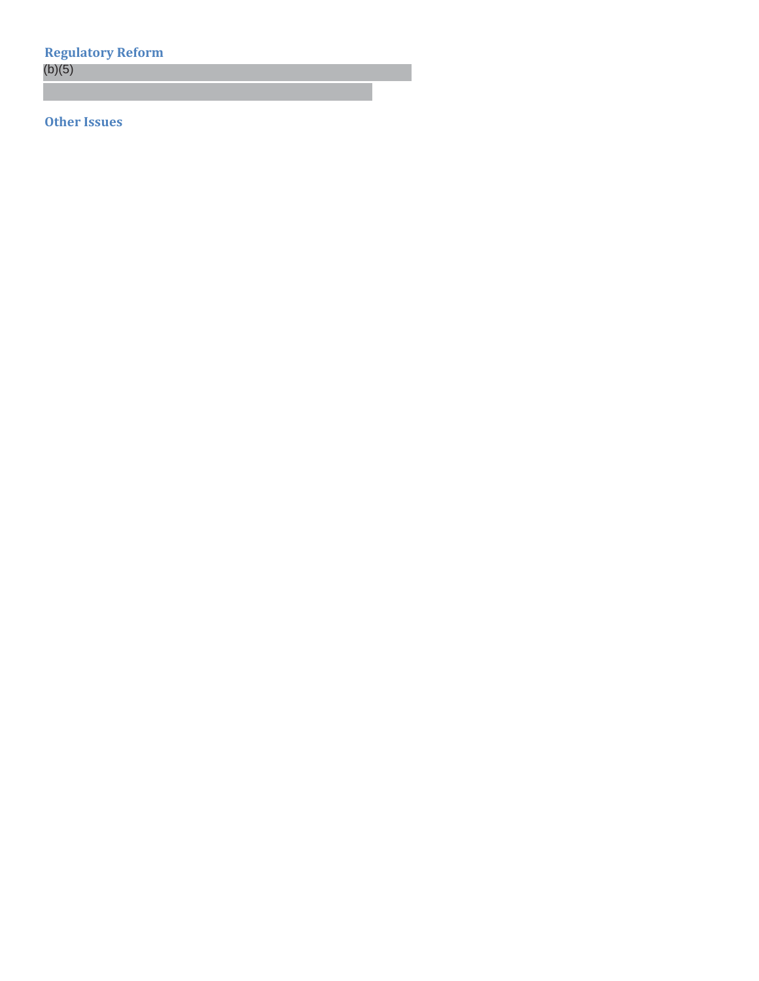### **Regulatory Reform**   $(b)(5)$

**Other Issues**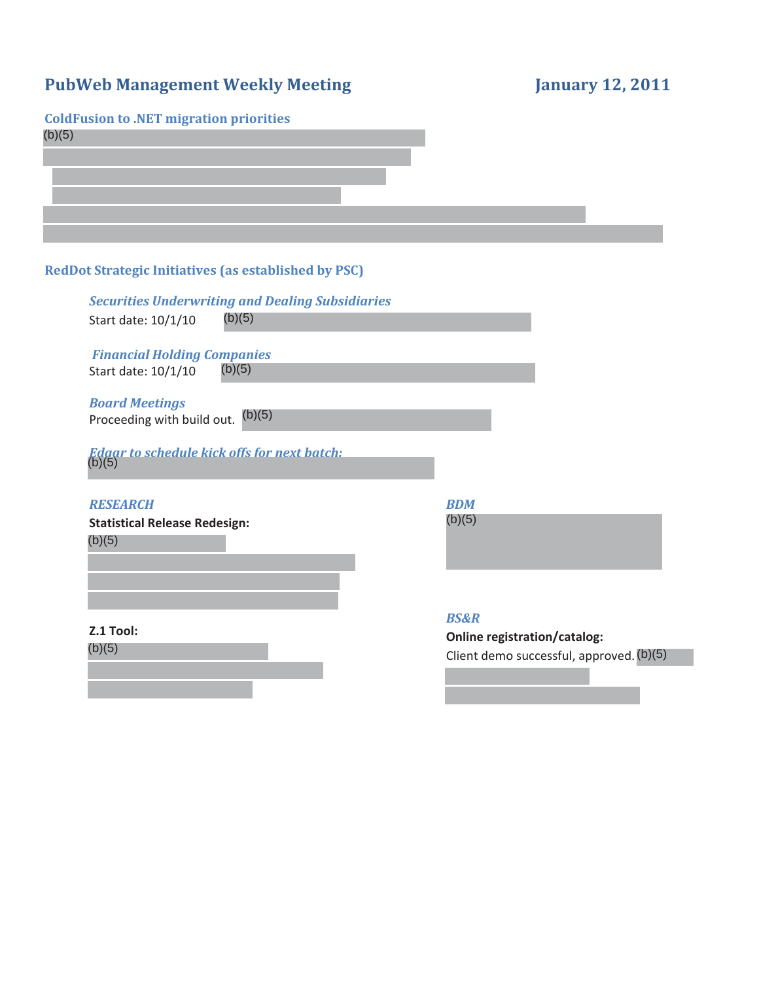# PubWeb Management Weekly Meeting **January 12, 2011**

| <b>ColdFusion to .NET migration priorities</b> |  |
|------------------------------------------------|--|
| (b)(5)                                         |  |
|                                                |  |
|                                                |  |
|                                                |  |
|                                                |  |
|                                                |  |

### **RedDot Strategic Initiatives (as established by PSC)**

*Securities Underwriting and Dealing Subsidiaries* Start date: 10/1/10 *Financial Holding Companies* Start date: 10/1/10 *Board Meetings*  Proceeding with build out.  $(b)(5)$ *Edgar to schedule kick offs for next batch:*  (b)(5) *RESEARCH*  **Statistical Release Redesign: Z.1 Tool:**  *BDM BS&R*  **Online registration/catalog:** Client demo successful, approved. (b)(5) (b)(5) (b)(5) (b)(5)  $(b)(5)$ (b)(5)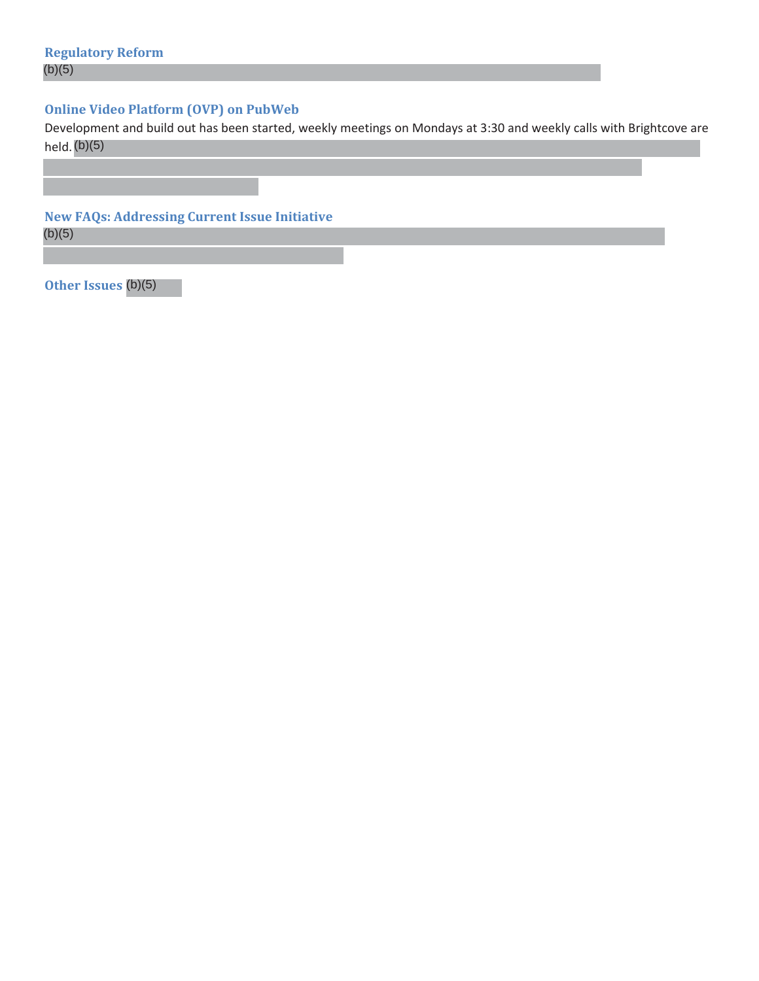### **Online Video Platform (OVP) on PubWeb**

Development and build out has been started, weekly meetings on Mondays at 3:30 and weekly calls with Brightcove are held. (b)(5)

**New FAQs: Addressing Current Issue Initiative** 

(b)(5)

**Other Issues**  (b)(5)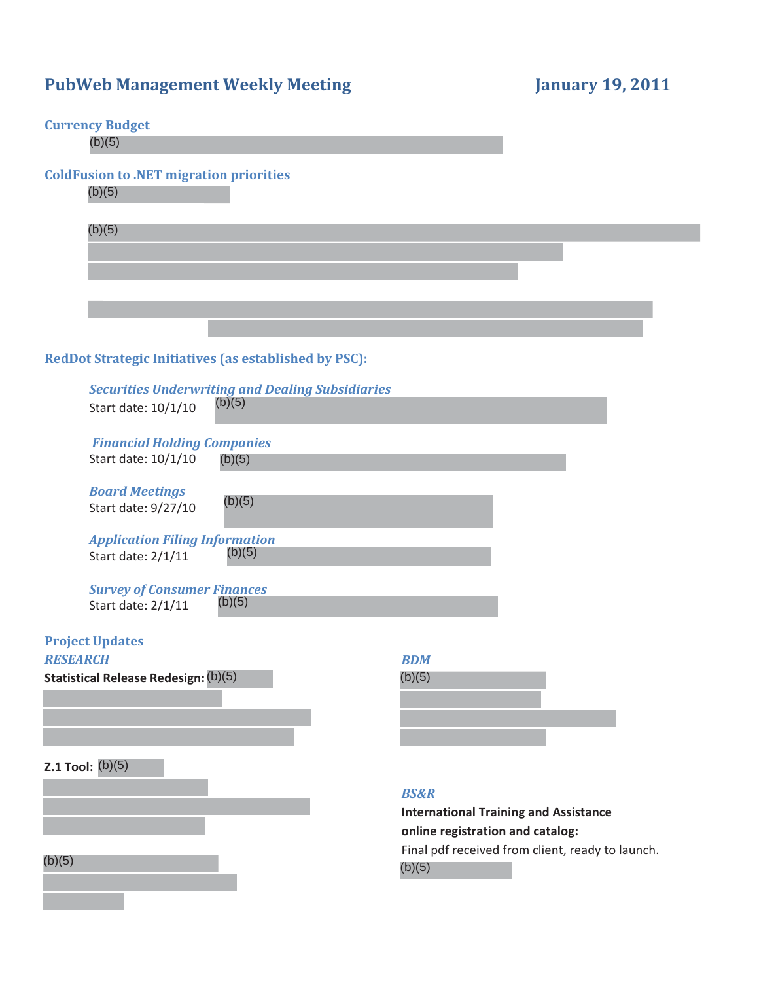# PubWeb Management Weekly Meeting **January 19, 2011**

|                           | <b>Currency Budget</b><br>(b)(5)                            |                                                              |                                  |                                                  |
|---------------------------|-------------------------------------------------------------|--------------------------------------------------------------|----------------------------------|--------------------------------------------------|
|                           | <b>ColdFusion to .NET migration priorities</b><br>(b)(5)    |                                                              |                                  |                                                  |
|                           | (b)(5)                                                      |                                                              |                                  |                                                  |
|                           |                                                             |                                                              |                                  |                                                  |
|                           |                                                             |                                                              |                                  |                                                  |
|                           |                                                             |                                                              |                                  |                                                  |
|                           |                                                             | <b>RedDot Strategic Initiatives (as established by PSC):</b> |                                  |                                                  |
|                           |                                                             | <b>Securities Underwriting and Dealing Subsidiaries</b>      |                                  |                                                  |
|                           | Start date: 10/1/10                                         | (b)(5)                                                       |                                  |                                                  |
|                           | <b>Financial Holding Companies</b>                          |                                                              |                                  |                                                  |
|                           | Start date: 10/1/10                                         | (b)(5)                                                       |                                  |                                                  |
|                           | <b>Board Meetings</b><br>Start date: 9/27/10                | (b)(5)                                                       |                                  |                                                  |
|                           | <b>Application Filing Information</b><br>Start date: 2/1/11 | (b)(5)                                                       |                                  |                                                  |
|                           | <b>Survey of Consumer Finances</b><br>Start date: 2/1/11    | (b)(5)                                                       |                                  |                                                  |
|                           | <b>Project Updates</b>                                      |                                                              |                                  |                                                  |
| <b>RESEARCH</b>           |                                                             |                                                              | <b>BDM</b><br>(b)(5)             |                                                  |
|                           | <b>Statistical Release Redesign: (b)(5)</b>                 |                                                              |                                  |                                                  |
|                           |                                                             |                                                              |                                  |                                                  |
|                           |                                                             |                                                              |                                  |                                                  |
| <b>Z.1 Tool:</b> $(b)(5)$ |                                                             |                                                              |                                  |                                                  |
|                           |                                                             |                                                              | <b>BS&amp;R</b>                  | <b>International Training and Assistance</b>     |
|                           |                                                             |                                                              | online registration and catalog: |                                                  |
| (b)(5)                    |                                                             |                                                              | (b)(5)                           | Final pdf received from client, ready to launch. |
|                           |                                                             |                                                              |                                  |                                                  |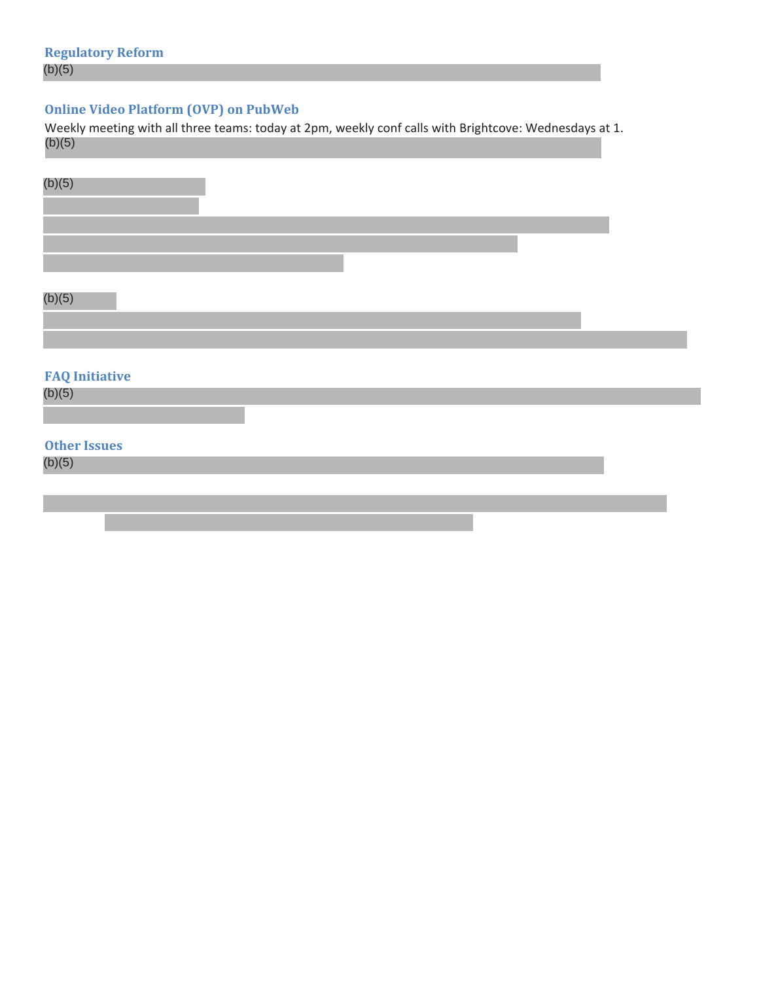### **Online Video Platform (OVP) on PubWeb**

Weekly meeting with all three teams: today at 2pm, weekly conf calls with Brightcove: Wednesdays at 1. (b)(5)

| (b)(5)                |  |  |
|-----------------------|--|--|
|                       |  |  |
|                       |  |  |
|                       |  |  |
| (b)(5)                |  |  |
|                       |  |  |
|                       |  |  |
| <b>FAQ Initiative</b> |  |  |
| (b)(5)                |  |  |
|                       |  |  |
| <b>Other Issues</b>   |  |  |
| (b)(5)                |  |  |
|                       |  |  |
|                       |  |  |
|                       |  |  |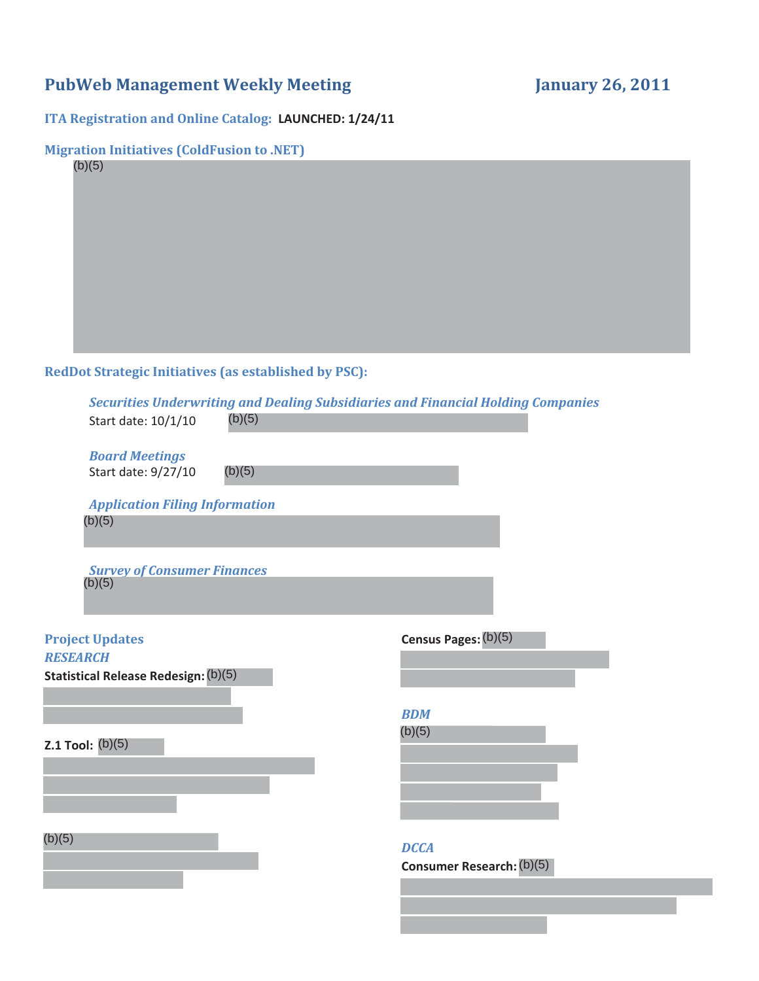### PubWeb Management Weekly Meeting **January 26, 2011**

**ITA Registration and Online Catalog: LAUNCHED: 1/24/11**

# **Migration Initiatives (ColdFusion to .NET) RedDot Strategic Initiatives (as established by PSC):** *Securities Underwriting and Dealing Subsidiaries and Financial Holding Companies* Start date: 10/1/10 *Board Meetings*  Start date: 9/27/10 *Application Filing Information Survey of Consumer Finances*  **Project Updates** *RESEARCH*  **Statistical Release Redesign:**  (b)(5) **Z.1 Tool:** (b)(5) **Census Pages:**  (b)(5)*BDM DCCA*  **Consumer Research:**  (b)(5)  $(b)(5)$ (b)(5)  $(b)(5)$  $(b)(5)$  $(b)(5)$  $(b)(5)$ (b)(5)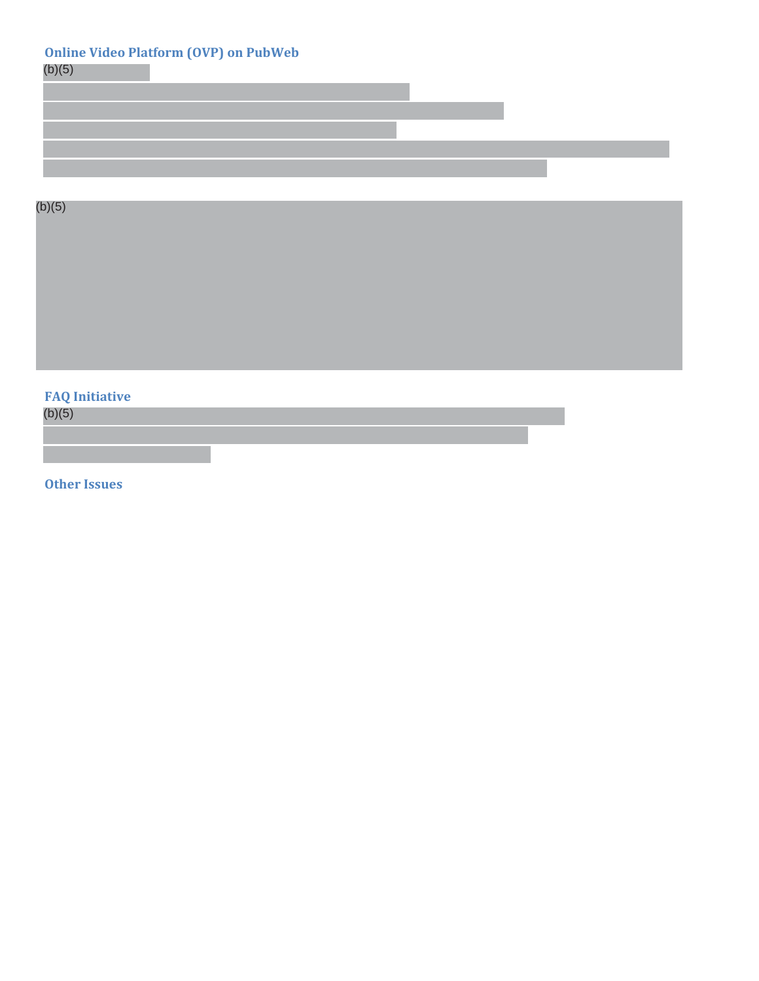# **Online Video Platform (OVP) on PubWeb**

(b)(5) (b)(5)

### **FAQ Initiative**

 $(b)(5)$ 

### **Other Issues**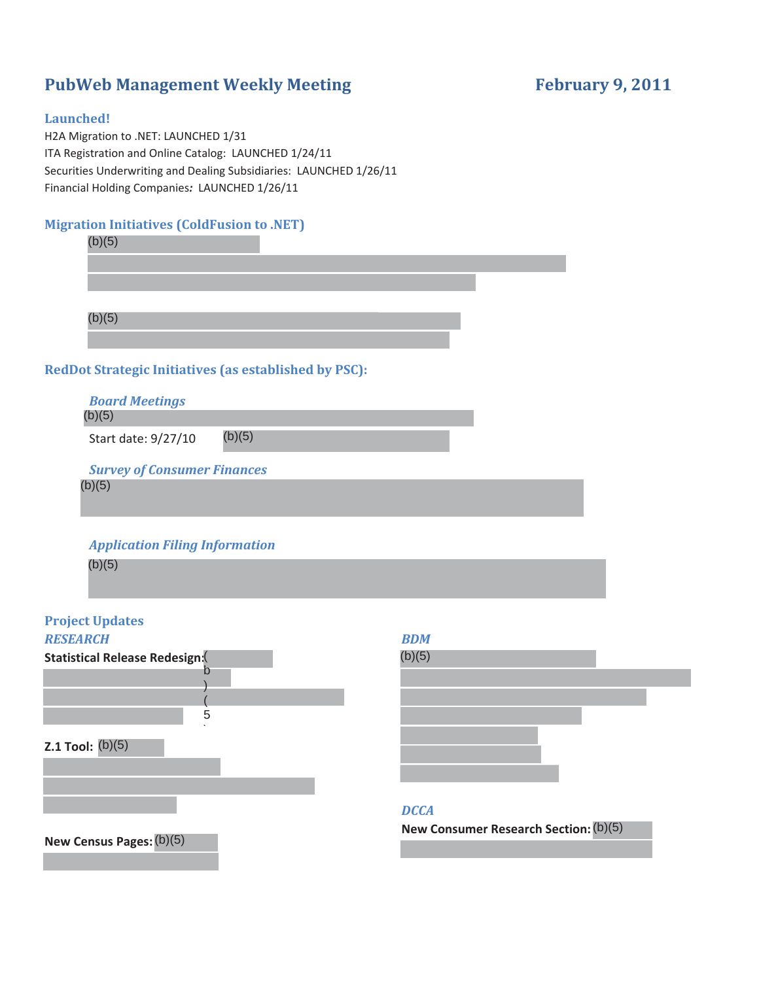### PubWeb Management Weekly Meeting February 9, 2011

### **Launched!**

H2A Migration to .NET: LAUNCHED 1/31 ITA Registration and Online Catalog: LAUNCHED 1/24/11 Securities Underwriting and Dealing Subsidiaries: LAUNCHED 1/26/11 Financial Holding Companies*:* LAUNCHED 1/26/11

### **Migration Initiatives (ColdFusion to .NET)**

| (b)(5) |  |
|--------|--|
|        |  |
|        |  |
|        |  |
| (b)(5) |  |
|        |  |

### **RedDot Strategic Initiatives (as established by PSC):**

| <b>Board Meetings</b><br>(b)(5)              |        |  |
|----------------------------------------------|--------|--|
| Start date: 9/27/10                          | (b)(5) |  |
| <b>Survey of Consumer Finances</b><br>(b)(5) |        |  |
| <b>Annlication Filing Information</b>        |        |  |

### *Application Filing Information*



### **Project Updates**





### *DCCA*

**New Consumer Research Section:**  (b)(5)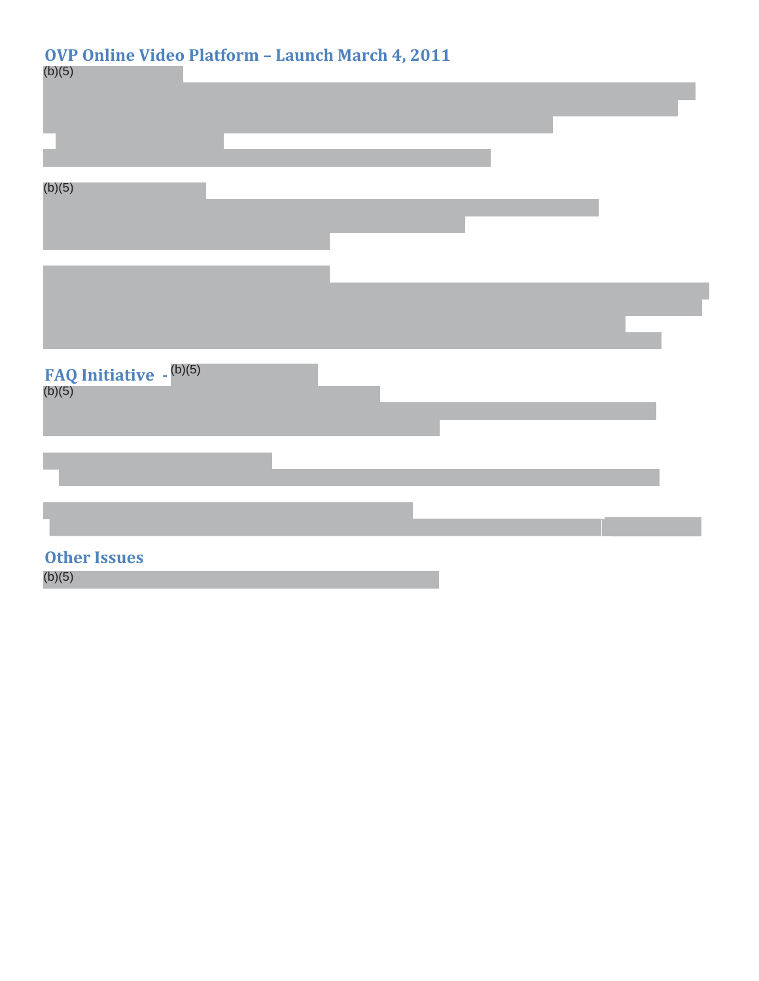# **OVP Online Video Platform – Launch March 4, 2011**

| (b)(5)                                       |  |  |  |
|----------------------------------------------|--|--|--|
|                                              |  |  |  |
|                                              |  |  |  |
|                                              |  |  |  |
|                                              |  |  |  |
| (b)(5)                                       |  |  |  |
|                                              |  |  |  |
|                                              |  |  |  |
|                                              |  |  |  |
|                                              |  |  |  |
|                                              |  |  |  |
|                                              |  |  |  |
|                                              |  |  |  |
|                                              |  |  |  |
| FAQ Initiative - <sup>(b)(5)</sup><br>(b)(5) |  |  |  |
|                                              |  |  |  |
|                                              |  |  |  |
|                                              |  |  |  |
|                                              |  |  |  |
|                                              |  |  |  |
|                                              |  |  |  |
|                                              |  |  |  |
|                                              |  |  |  |
| <b>Other Issues</b>                          |  |  |  |

(b)(5)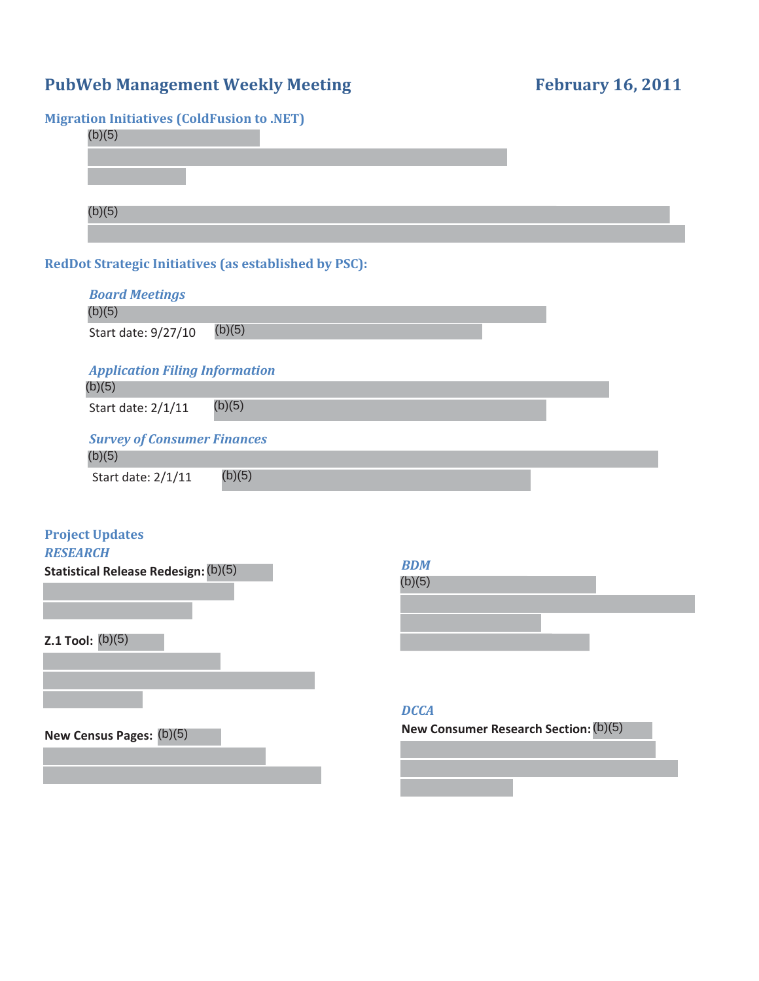# PubWeb Management Weekly Meeting February 16, 2011

### **Migration Initiatives (ColdFusion to .NET)**



### **RedDot Strategic Initiatives (as established by PSC):**

| <b>Board Meetings</b><br>(b)(5)       |        |
|---------------------------------------|--------|
| Start date: 9/27/10                   | (b)(5) |
| <b>Application Filing Information</b> |        |
| (b)(5)                                |        |
| Start date: 2/1/11                    | (b)(5) |
| <b>Survey of Consumer Finances</b>    |        |
| (b)(5)                                |        |
| Start date: 2/1/11                    | (b)(5) |

### **Project Updates**

### *RESEARCH*

**Statistical Release Redesign:**  (b)(5)

**Z.1 Tool:** (b)(5)

**New Census Pages:** 



### *DCCA*

**New Consumer Research Section:**  (b)(5) (b)(5)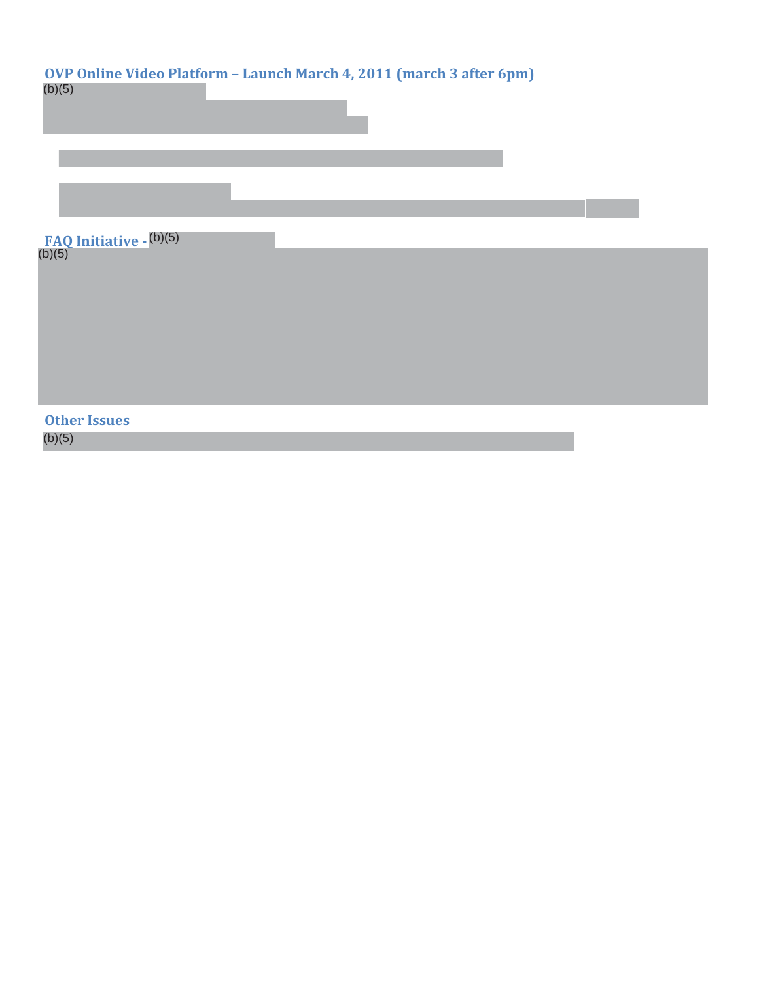| (b)(5)                                   | <b>OVP Online Video Platform - Launch March 4, 2011 (march 3 after 6pm)</b> |  |
|------------------------------------------|-----------------------------------------------------------------------------|--|
|                                          |                                                                             |  |
| <b>FAQ Initiative - (b)(5)</b><br>(b)(5) |                                                                             |  |
| <b>Other Issues</b><br>(b)(5)            |                                                                             |  |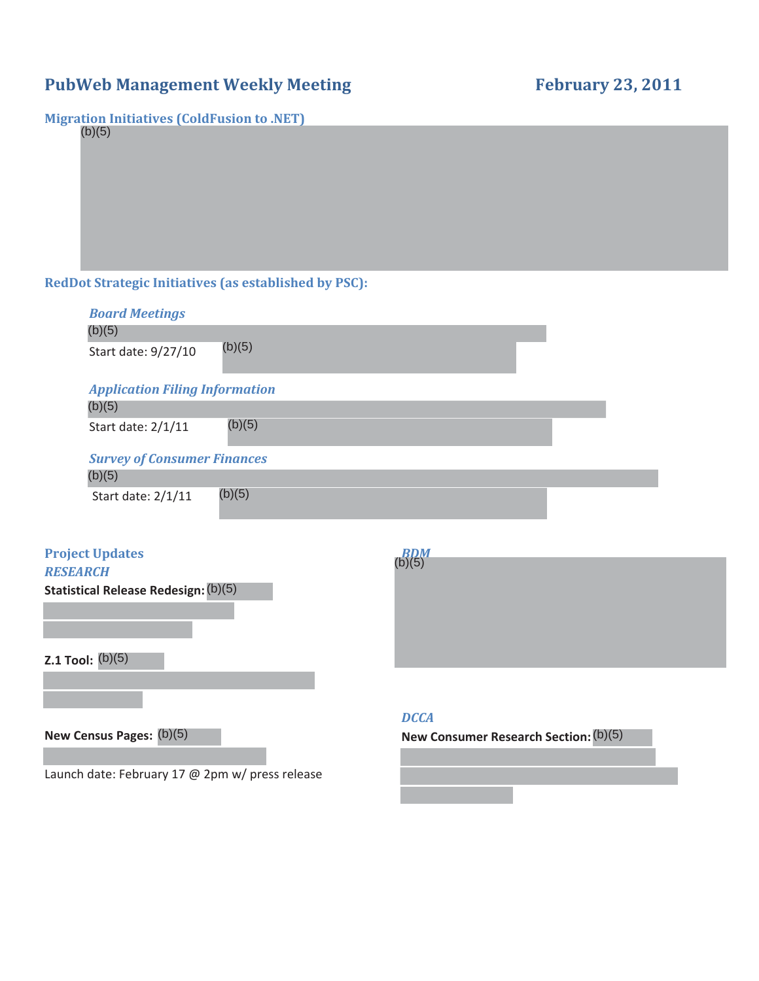### **PubWeb Management Weekly Meeting February 23, 2011**

**Migration Initiatives (ColdFusion to .NET)**  $(b)(5)$ 

# **RedDot Strategic Initiatives (as established by PSC):** *Board Meetings* Start date: 9/27/10 *Application Filing Information* (b)(5)  $(b)(5)$

### Start date: 2/1/11 *Survey of Consumer Finances* Start date: 2/1/11  $(b)(5)$  $(b)(5)$ (b)(5) (b)(5)

### **Project Updates** *RESEARCH*

**Statistical Release Redesign:** (b)(5)

**Z.1 Tool:** (b)(5)

**New Census Pages:** (b)(5)

Launch date: February 17 @ 2pm w/ press release



### *DCCA*

**New Consumer Research Section:** (b)(5)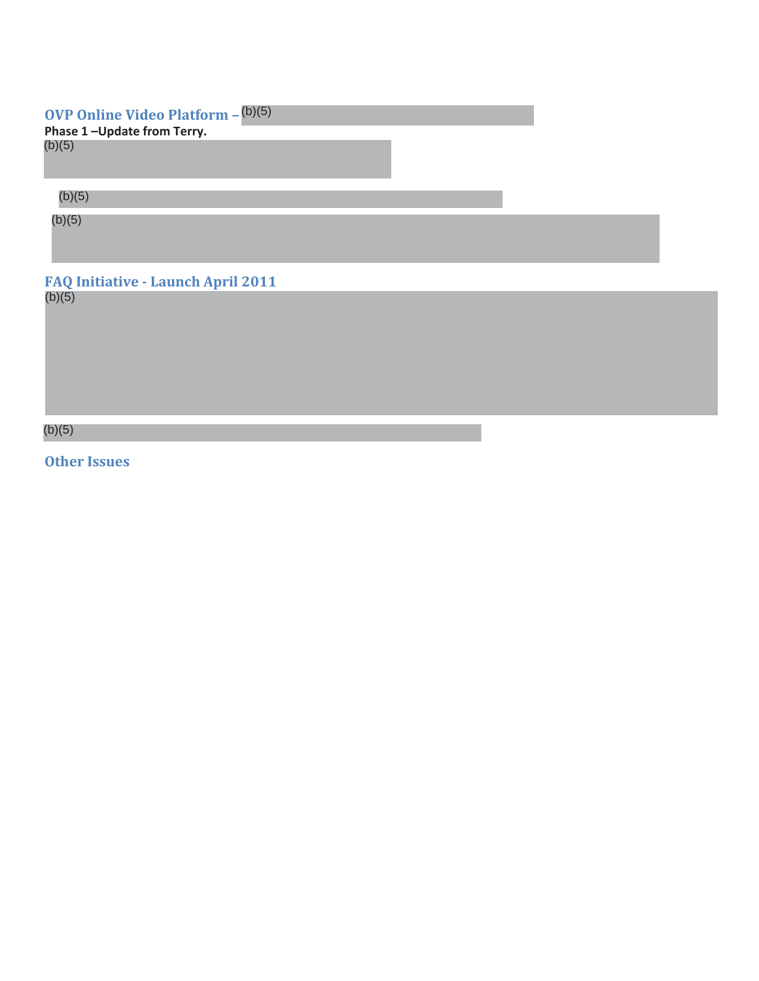# **OVP Online Video Platform –** (b)(5) **Phase 1 –Update from Terry.** (b)(5) **FAQ InitiativeǦLaunch April 2011**  $(b)(5)$ (b)(5)  $(b)(5)$

### (b)(5)

**Other Issues**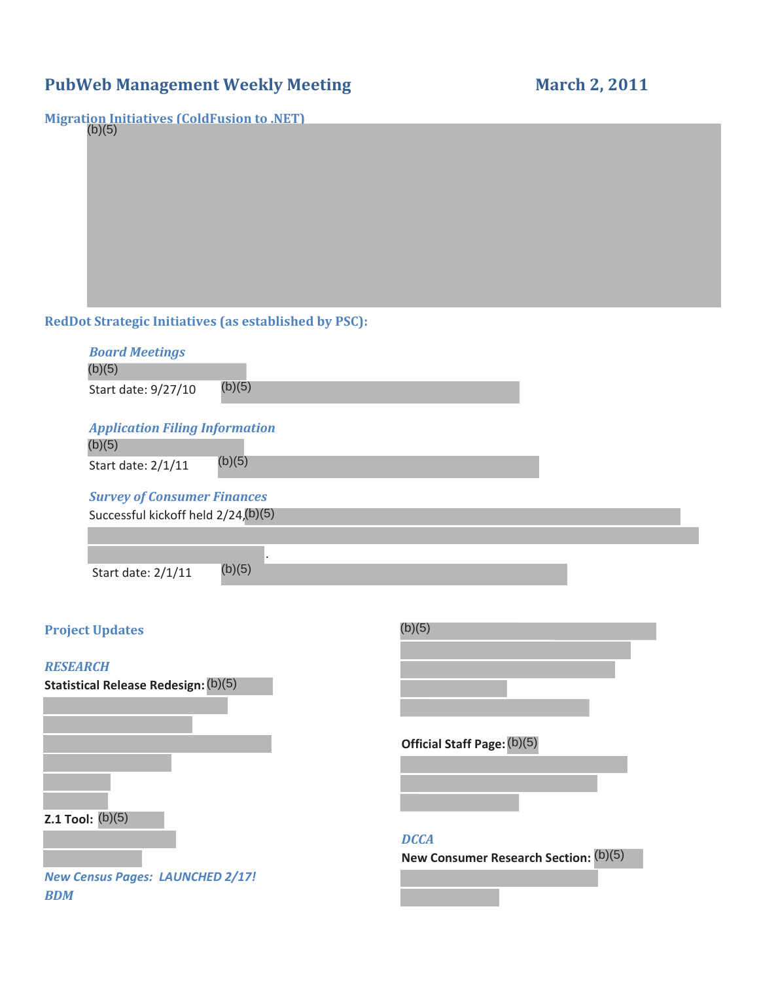# **PubWeb Management Weekly Meeting March 2, 2011**

**Migration Initiatives (ColdFusion to .NET)**  $(b)(5)$ 

**RedDot Strategic Initiatives (as established by PSC):**



### **Project Updates**

### *RESEARCH*

**Statistical Release Redesign:** (b)(5)



*New Census Pages:LAUNCHED 2/17! BDM*

| (b)(5)                                                                                                                                      |       |  |
|---------------------------------------------------------------------------------------------------------------------------------------------|-------|--|
|                                                                                                                                             |       |  |
|                                                                                                                                             |       |  |
|                                                                                                                                             |       |  |
|                                                                                                                                             |       |  |
| $\mathcal{L}$ and $\mathcal{L}$ and $\mathcal{L}$ and $\mathcal{L}$ and $\mathcal{L}$ and $\mathcal{L}$ and $\mathcal{L}$ and $\mathcal{L}$ | (h)/E |  |

**Official Staff Page:** (b)(5)

*DCCA*

**New Consumer Research Section:** (b)(5)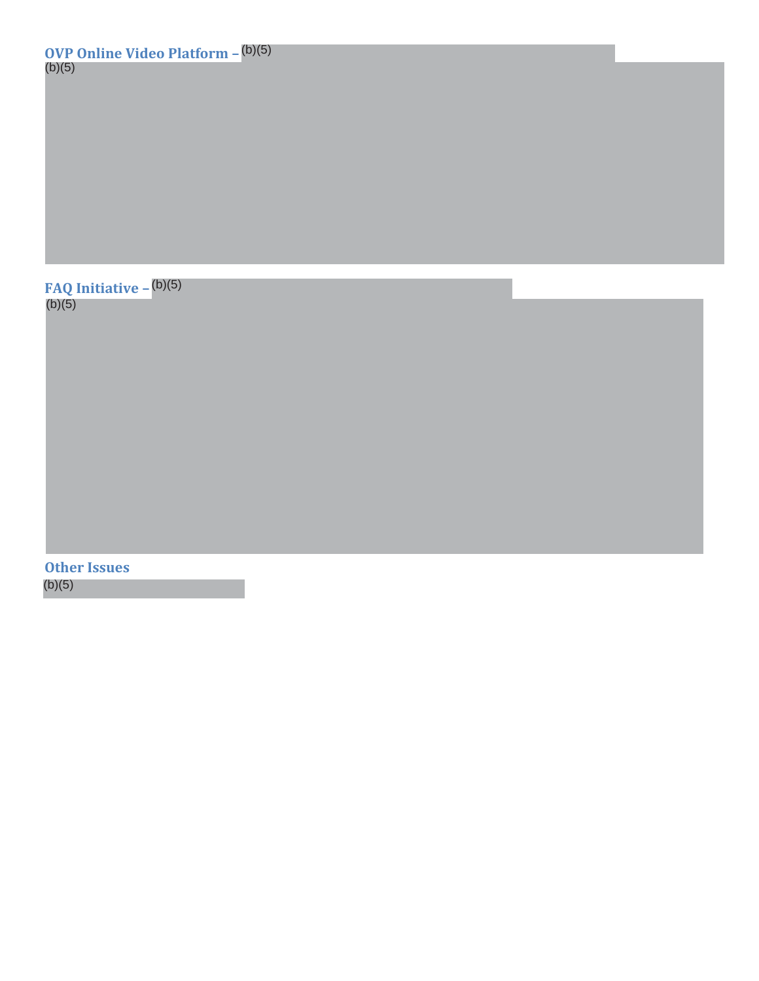**FAQ Initiative –**  (b)(5)  $(b)(5)$ 

**Other Issues** (b)(5)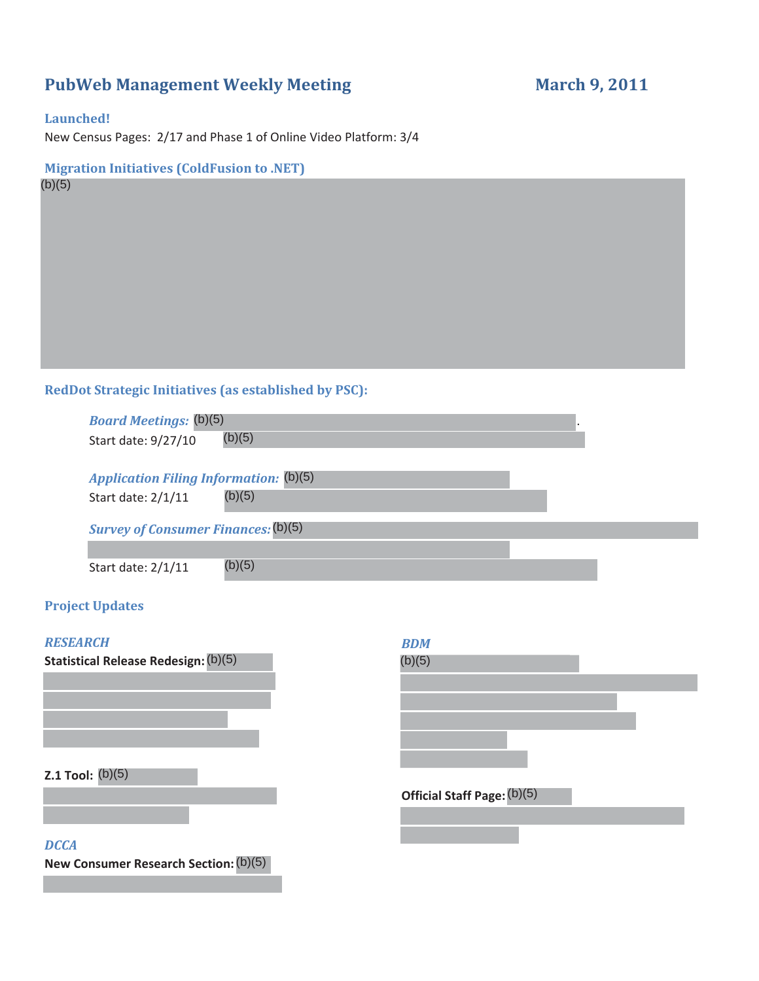# **PubWeb Management Weekly Meeting March 9, 2011**

### **Launched!**

New Census Pages:2/17 and Phase 1 of Online Video Platform: 3/4

# **Migration Initiatives (ColdFusion to .NET)**

 $(b)(5)$ 

### **RedDot Strategic Initiatives (as established by PSC):**

| <b>Board Meetings: (b)(5)</b>              |        |
|--------------------------------------------|--------|
| Start date: 9/27/10                        | (b)(5) |
|                                            |        |
| Application Filing Information: (b)(5)     |        |
| Start date: 2/1/11                         | (b)(5) |
|                                            |        |
| <b>Survey of Consumer Finances: (b)(5)</b> |        |
|                                            |        |
| Start date: 2/1/11                         | (b)(5) |

### **Project Updates**

| <b>RESEARCH</b>                       | <b>BDM</b>                  |
|---------------------------------------|-----------------------------|
| Statistical Release Redesign: (b)(5)  | (b)(5)                      |
|                                       |                             |
|                                       |                             |
|                                       |                             |
|                                       |                             |
|                                       |                             |
| <b>Z.1 Tool:</b> $(b)(5)$             |                             |
|                                       | Official Staff Page: (b)(5) |
|                                       |                             |
|                                       |                             |
| <b>DCCA</b>                           |                             |
| New Consumer Research Section: (b)(5) |                             |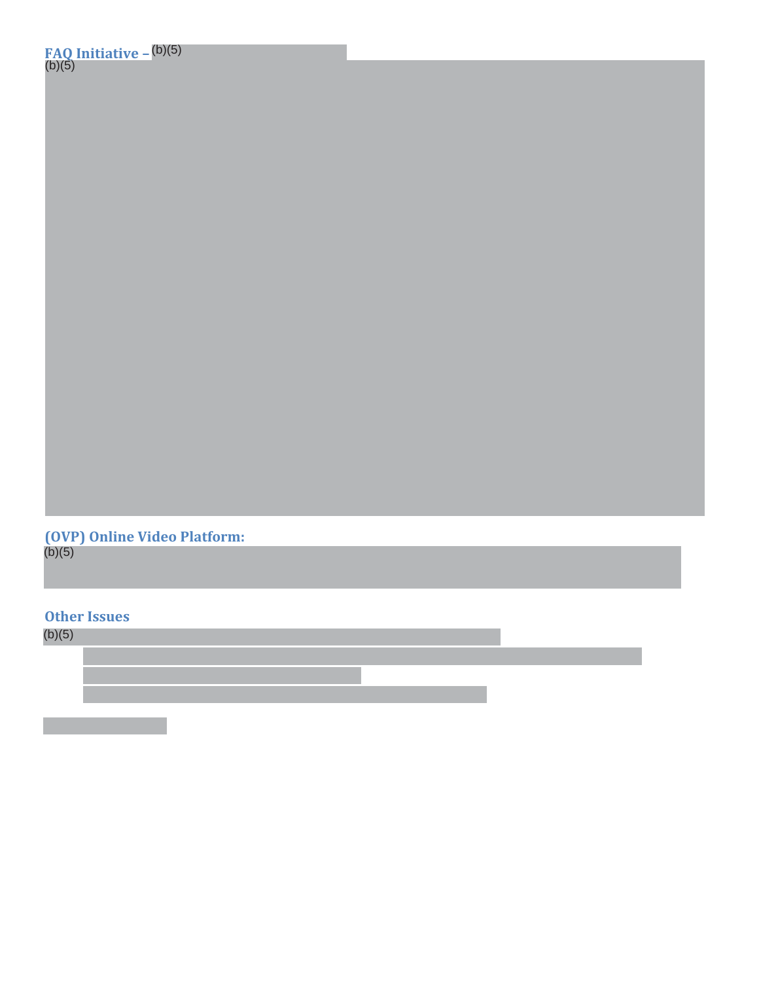**(OVP) Online Video Platform:**  $(b)(5)$ 

the contract of the contract of the contract of the contract of the contract of

### **Other Issues**

and the state (b)(5)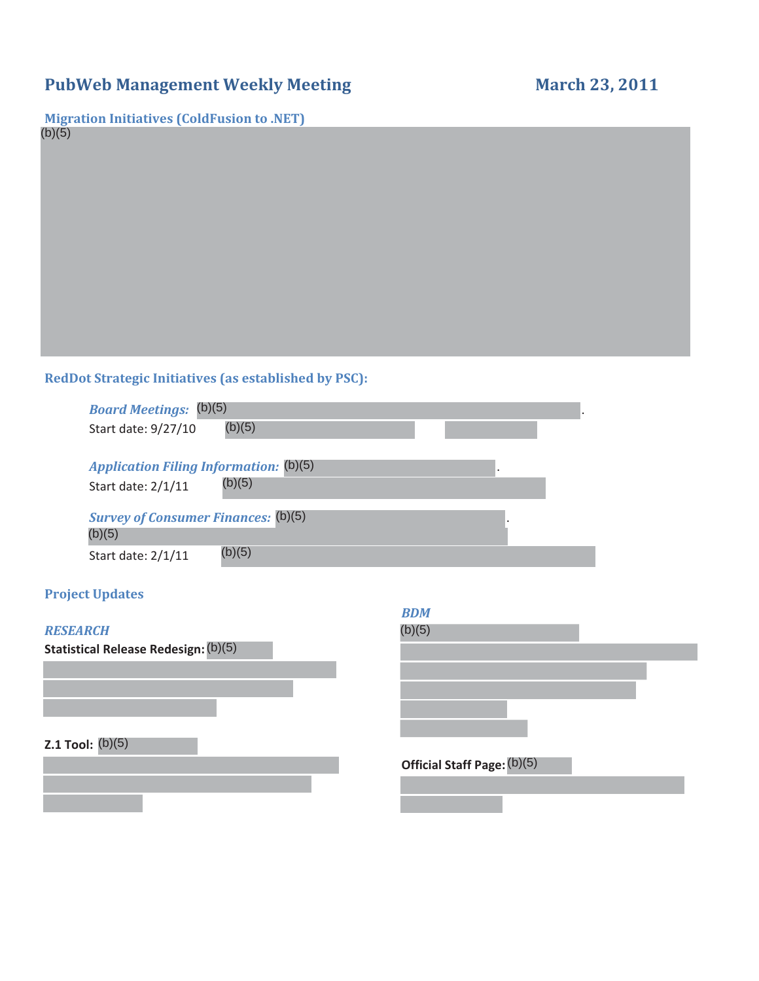# **PubWeb Management Weekly Meeting March 23, 2011**

**Migration Initiatives (ColdFusion to .NET)**  $(b)(5)$ 

# **RedDot Strategic Initiatives (as established by PSC):**

| <b>Board Meetings:</b> (b)(5)<br>Start date: 9/27/10         | (b)(5) |
|--------------------------------------------------------------|--------|
| Application Filing Information: (b)(5)<br>Start date: 2/1/11 | (b)(5) |
| <b>Survey of Consumer Finances:</b> (b)(5)<br>(b)(5)         |        |
| Start date: 2/1/11                                           | (b)(5) |

### **Project Updates**

### *RESEARCH*



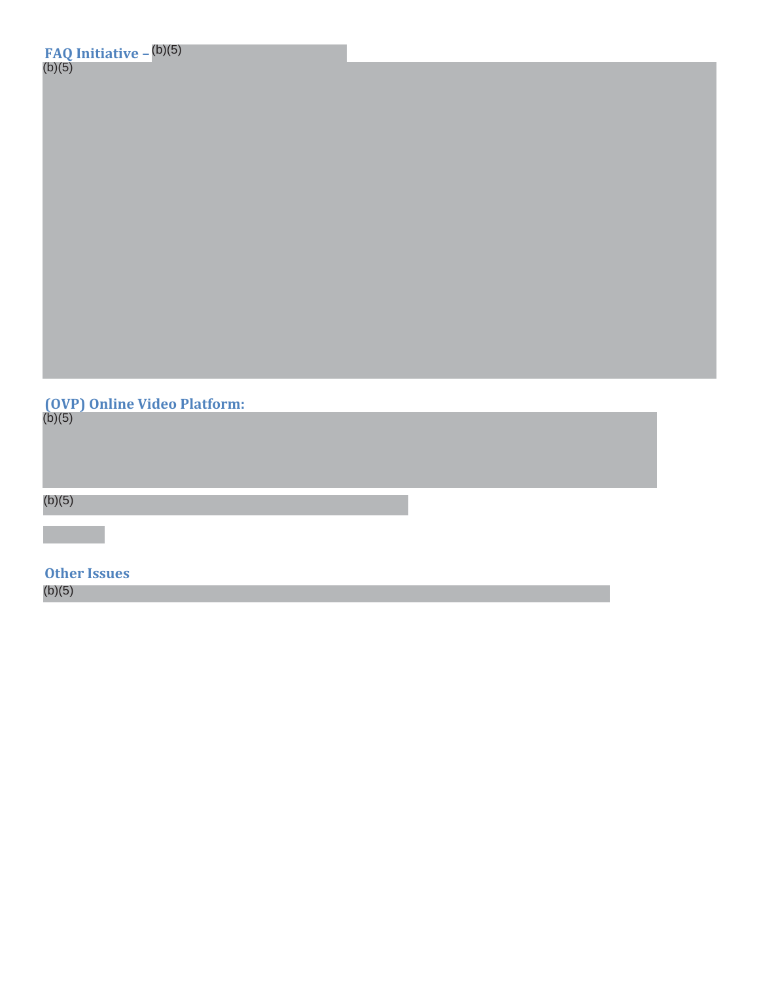| <b>FAQ Initiative – (b) (5)</b><br>(b) (5) |  |
|--------------------------------------------|--|
|                                            |  |
|                                            |  |
|                                            |  |
|                                            |  |
|                                            |  |
|                                            |  |
|                                            |  |
|                                            |  |
|                                            |  |
|                                            |  |
|                                            |  |
|                                            |  |
|                                            |  |
|                                            |  |
| (OVP) Online Video Platform:<br>(b)(5)     |  |
|                                            |  |
|                                            |  |
| (b)(5)                                     |  |
|                                            |  |
|                                            |  |
| <b>Other Issues</b>                        |  |
| (b)(5)                                     |  |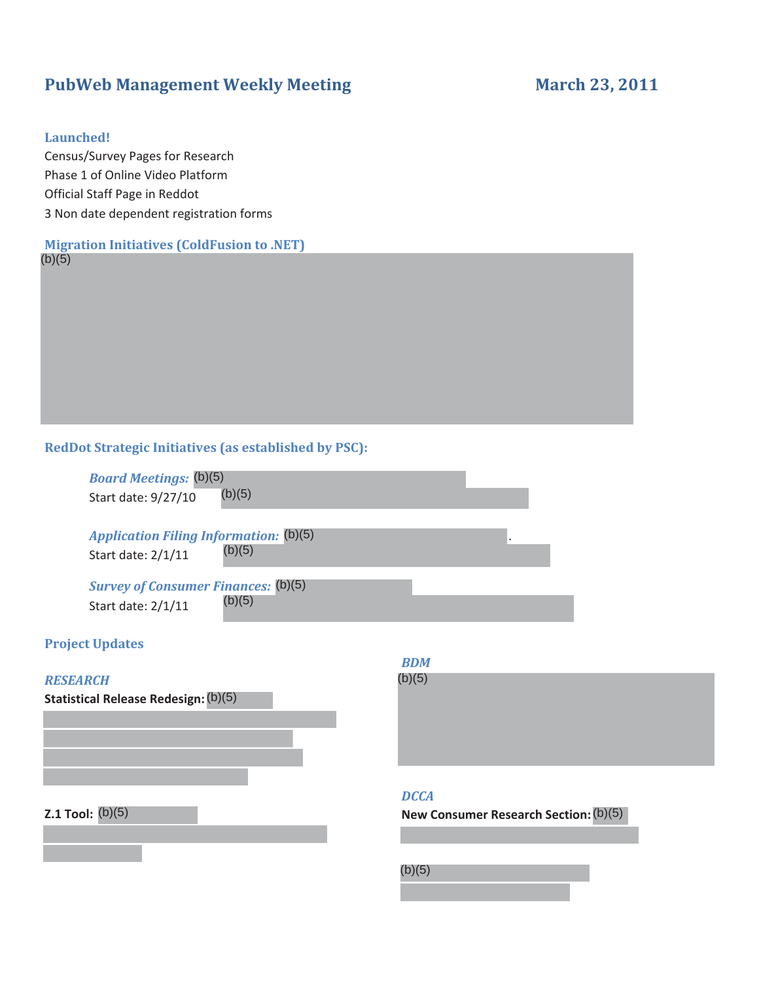### **PubWeb Management Weekly Meeting March 23, 2011**

### **Launched!**

Census/Survey Pages for Research Phase 1 of Online Video Platform Official Staff Page in Reddot 3 Non date dependent registration forms

|        | <b>Migration Initiatives (ColdFusion to .NET)</b> |  |
|--------|---------------------------------------------------|--|
| (b)(5) |                                                   |  |

### **RedDot Strategic Initiatives (as established by PSC):**

| <b>Board Meetings:</b> (b)(5)<br>Start date: 9/27/10             | (b)(5) |  |
|------------------------------------------------------------------|--------|--|
| Application Filing Information: (b)(5)<br>Start date: 2/1/11     | (b)(5) |  |
| <b>Survey of Consumer Finances: (b)(5)</b><br>Start date: 2/1/11 | (b)(5) |  |

### **Project Updates**

### *RESEARCH*

**Z.1 Tool:**

**Statistical Release Redesign:** (b)(5)

### *BDM*

 $(b)(5)$ 

### *DCCA*

**New Consumer Research Section:** (b)(5) (b)(5)

(b)(5)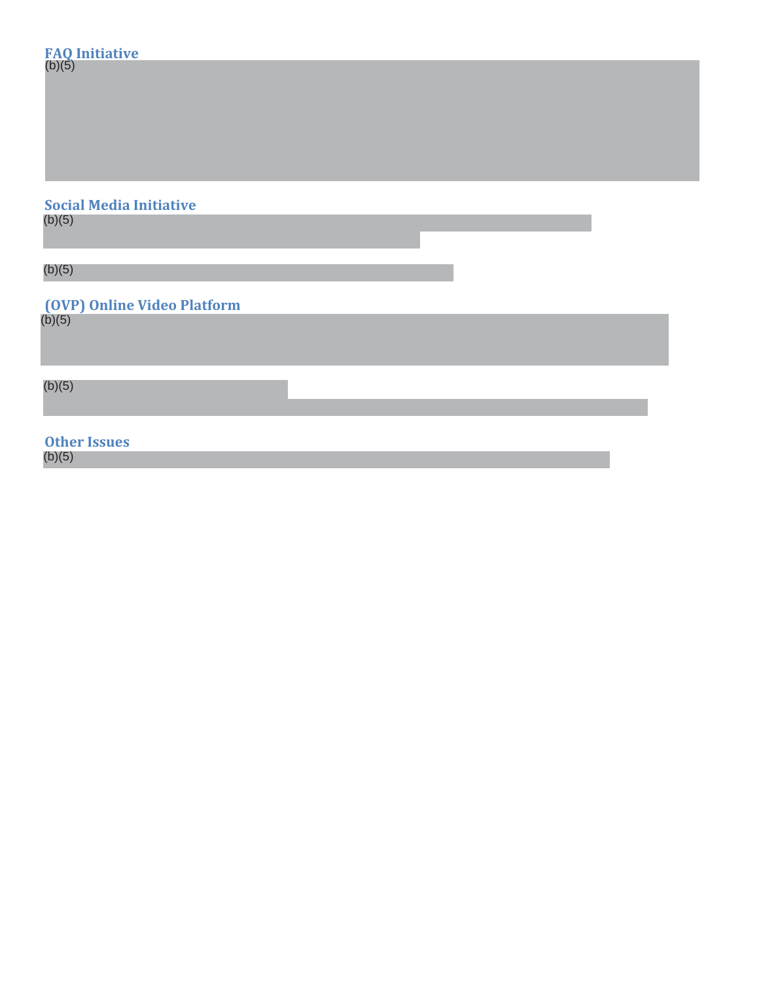| FAQ Initiative<br>(b)(5)                 |
|------------------------------------------|
| <b>Social Media Initiative</b><br>(b)(5) |
|                                          |
| (b)(5)                                   |
| (OVP) Online Video Platform<br>(b)(5)    |
|                                          |
| (b)(5)                                   |
| <b>Other Issues</b>                      |

(b)(5)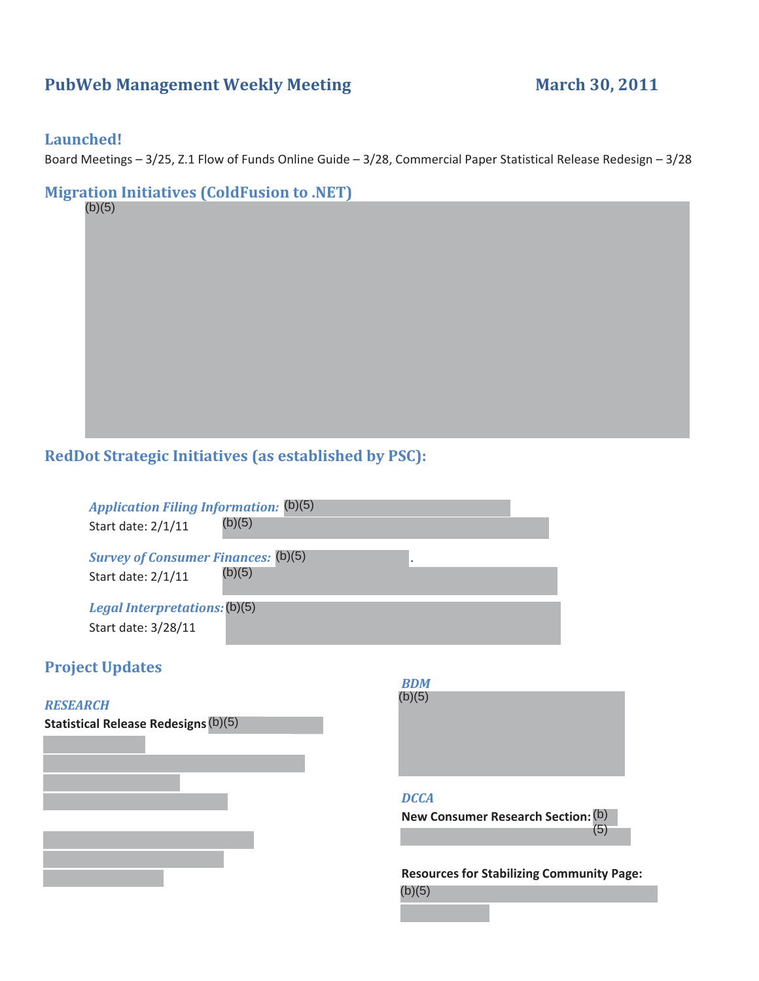# **PubWeb Management Weekly Meeting March 30, 2011**

### **Launched!**

Board Meetings – 3/25, Z.1 Flow of Funds Online Guide – 3/28, Commercial Paper Statistical Release Redesign – 3/28

### **Migration Initiatives (ColdFusion to .NET)** (b)(5)

**RedDot Strategic Initiatives (as established by PSC):**

| Application Filing Information: (b)(5)<br>(b)(5)<br>Start date: 2/1/11     |                                                            |
|----------------------------------------------------------------------------|------------------------------------------------------------|
| <b>Survey of Consumer Finances:</b> (b)(5)<br>(b)(5)<br>Start date: 2/1/11 |                                                            |
| Legal Interpretations: (b)(5)<br>Start date: 3/28/11                       |                                                            |
| <b>Project Updates</b>                                                     | <b>BDM</b>                                                 |
| <b>RESEARCH</b><br><b>Statistical Release Redesigns (b)(5)</b>             | (b)(5)                                                     |
|                                                                            | <b>DCCA</b><br>New Consumer Research Section: (b)<br>(5)   |
|                                                                            | <b>Resources for Stabilizing Community Page:</b><br>(b)(5) |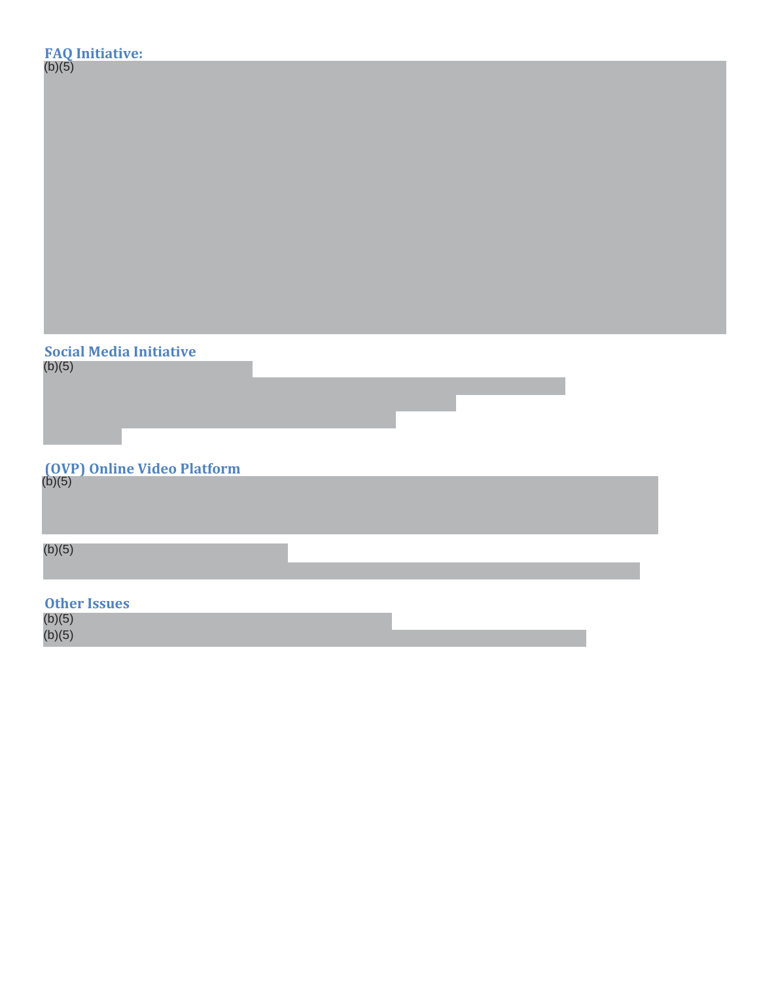| <mark>FAQ Initiative:</mark><br>(b)(5)   |  |  |  |
|------------------------------------------|--|--|--|
|                                          |  |  |  |
|                                          |  |  |  |
|                                          |  |  |  |
|                                          |  |  |  |
|                                          |  |  |  |
|                                          |  |  |  |
|                                          |  |  |  |
|                                          |  |  |  |
|                                          |  |  |  |
|                                          |  |  |  |
|                                          |  |  |  |
|                                          |  |  |  |
|                                          |  |  |  |
|                                          |  |  |  |
|                                          |  |  |  |
| <b>Social Media Initiative</b><br>(b)(5) |  |  |  |
|                                          |  |  |  |
|                                          |  |  |  |
|                                          |  |  |  |
|                                          |  |  |  |
|                                          |  |  |  |
| (OVP) Online Video Platform<br>(b)(5)    |  |  |  |
|                                          |  |  |  |
|                                          |  |  |  |
|                                          |  |  |  |
| (b)(5)                                   |  |  |  |
|                                          |  |  |  |
|                                          |  |  |  |
| <b>Other Issues</b>                      |  |  |  |
| (b)(5)<br>(b)(5)                         |  |  |  |
|                                          |  |  |  |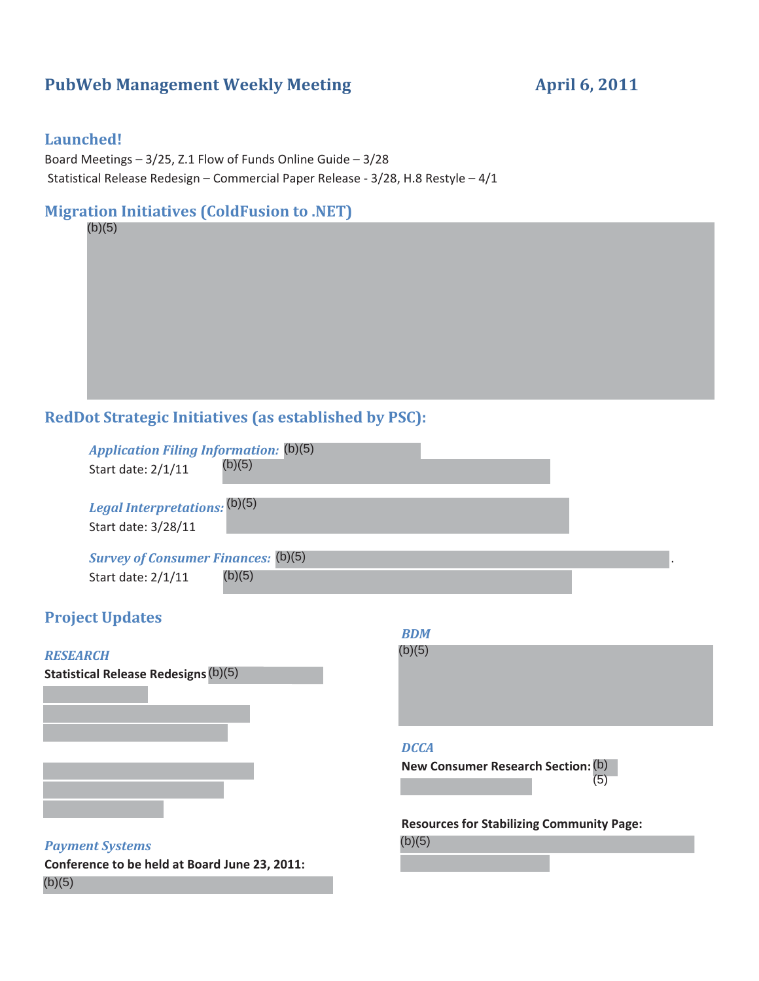### **PubWeb Management Weekly Meeting April 6, 2011**

### **Launched!**

Board Meetings – 3/25, Z.1 Flow of Funds Online Guide – 3/28 Statistical Release Redesign – Commercial Paper Release - 3/28, H.8 Restyle – 4/1

### **Migration Initiatives (ColdFusion to .NET)**



*Legal Interpretations:* (b)(5) Start date: 3/28/11

*Survey of Consumer Finances:* . (b)(5) Start date: 2/1/11  $(b)(5)$ 

### **Project Updates**

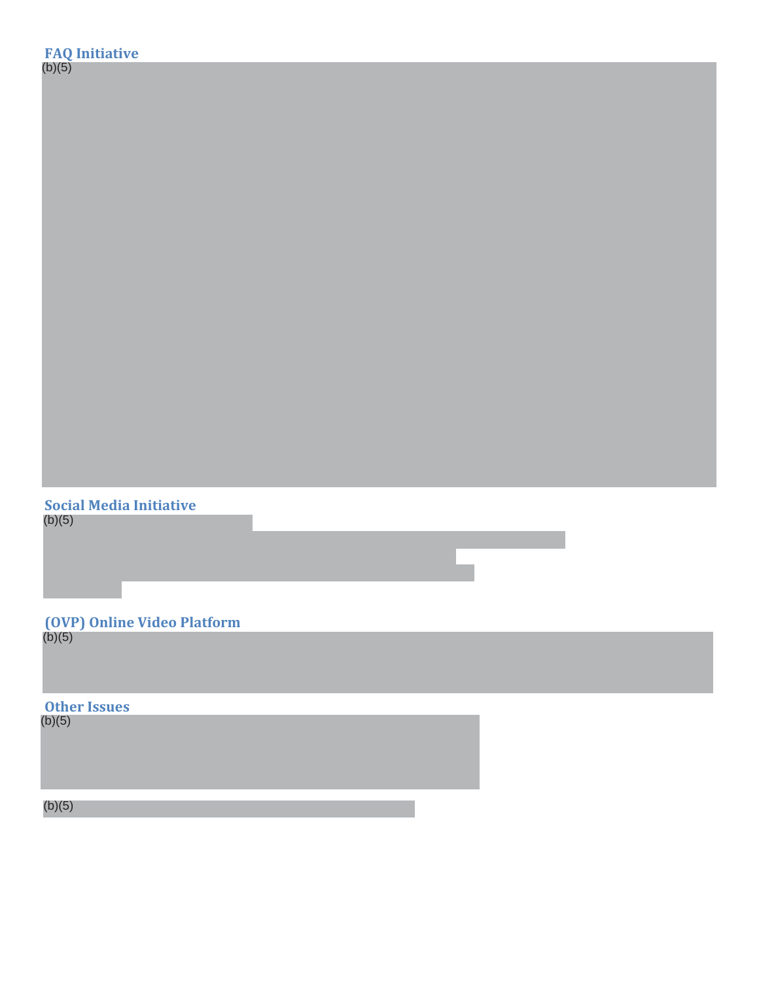**Social Media Initiative**  $(b)(5)$ 

**(OVP) Online Video Platform**  $(b)(5)$ 

**Other Issues**  $(b)(5)$ 

(b)(5)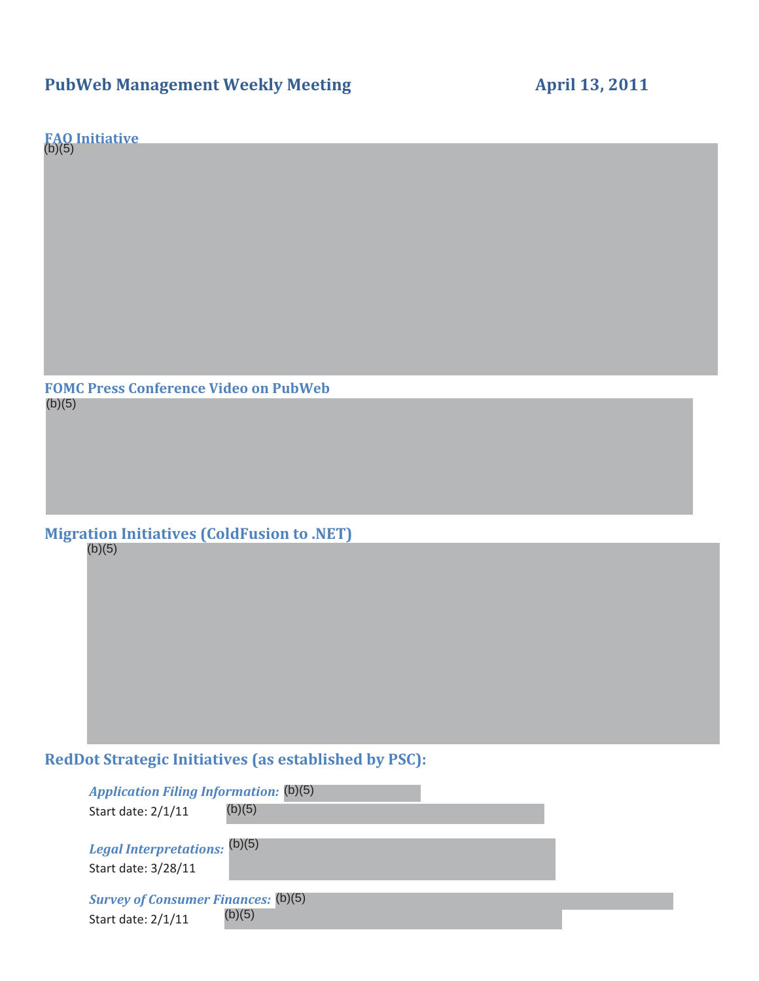# **PubWeb Management Weekly Meeting April 13, 2011**

| <b>FAO Initiative</b><br>(b)(5)                                               |  |
|-------------------------------------------------------------------------------|--|
| <b>FOMC Press Conference Video on PubWeb</b>                                  |  |
| (b)(5)                                                                        |  |
| <b>Migration Initiatives (ColdFusion to .NET)</b>                             |  |
| (b)(5)                                                                        |  |
| <b>RedDot Strategic Initiatives (as established by PSC):</b>                  |  |
| <b>Application Filing Information:</b> (b)(5)<br>(b)(5)<br>Start date: 2/1/11 |  |
| Legal Interpretations: (b)(5)<br>Start date: 3/28/11                          |  |
| <b>Survey of Consumer Finances:</b> (b)(5)                                    |  |

Start date: 2/1/11 (b)(5)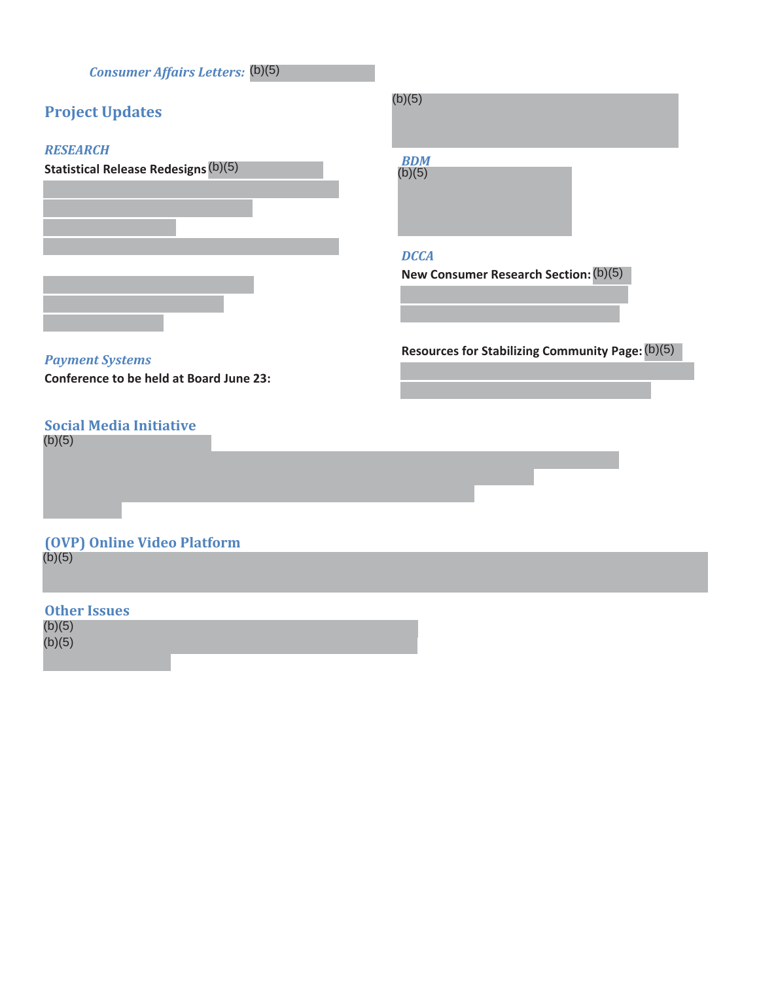*Consumer Affairs Letters:* (b)(5)

### **Project Updates**

### *RESEARCH*

**Statistical Release Redesigns**  (b)(5)





### *DCCA*

(b)(5)

**New Consumer Research Section:** (b)(5)

**Resources for Stabilizing Community Page:** (b)(5)

*Payment Systems* **Conference to be held at Board June 23:**

### **Social Media Initiative**

(b)(5)

**(OVP) Online Video Platform**  $(b)(5)$ 

### **Other Issues**

(b)(5)  $(b)(5)$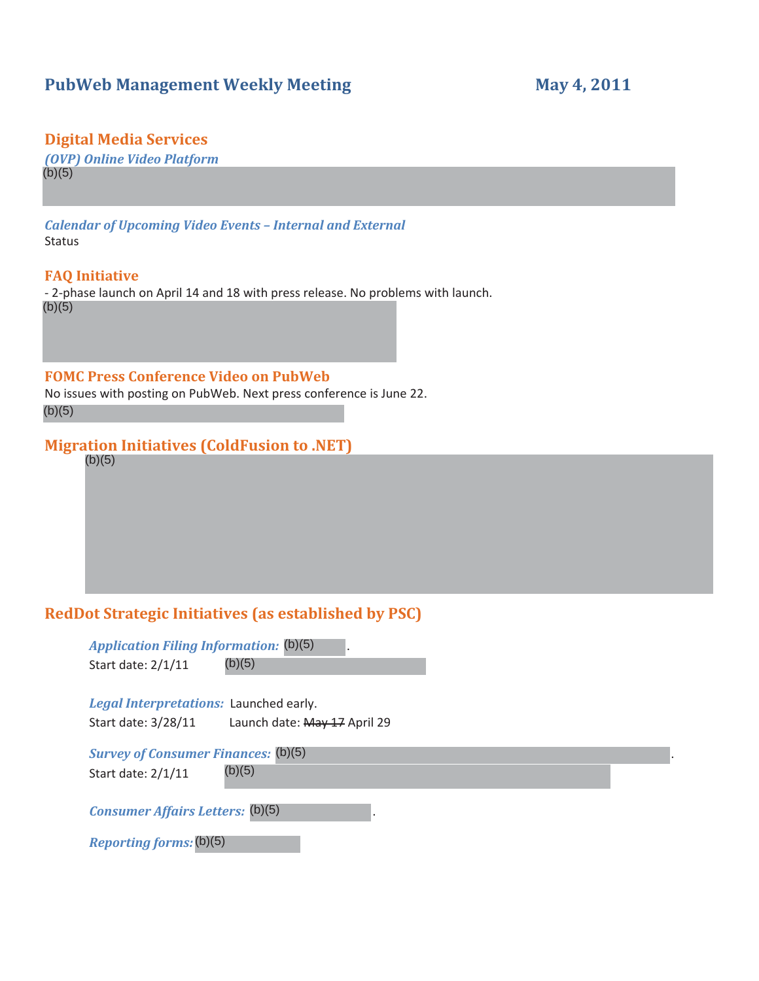### **PubWeb Management Weekly Meeting May 4, 2011**

### **Digital Media Services**

*(OVP) Online Video Platform* (b)(5)

*Calendar of Upcoming Video Events – Internal and External* **Status** 

### **FAQ Initiative**

- 2-phase launch on April 14 and 18 with press release. No problems with launch.  $(b)(5)$ 

### **FOMC Press Conference Video on PubWeb**

No issues with posting on PubWeb. Next press conference is June 22.  $(b)(5)$ 

### **Migration Initiatives (ColdFusion to .NET)**

 $(b)(5)$ 

### **RedDot Strategic Initiatives (as established by PSC)**

*Application Filing Information:* . (b)(5) Start date: 2/1/11  $(b)(5)$ 

*Legal Interpretations:* Launched early. Start date: 3/28/11 Launch date: May 17 April 29

*Survey of Consumer Finances:* . (b)(5) Start date: 2/1/11  $(b)(5)$ 

**Consumer Affairs Letters:** (b)(5) **Consumer Affairs** *Letters:* (b)(5) **Consumer Affairs** 

*Reporting forms:* (b)(5)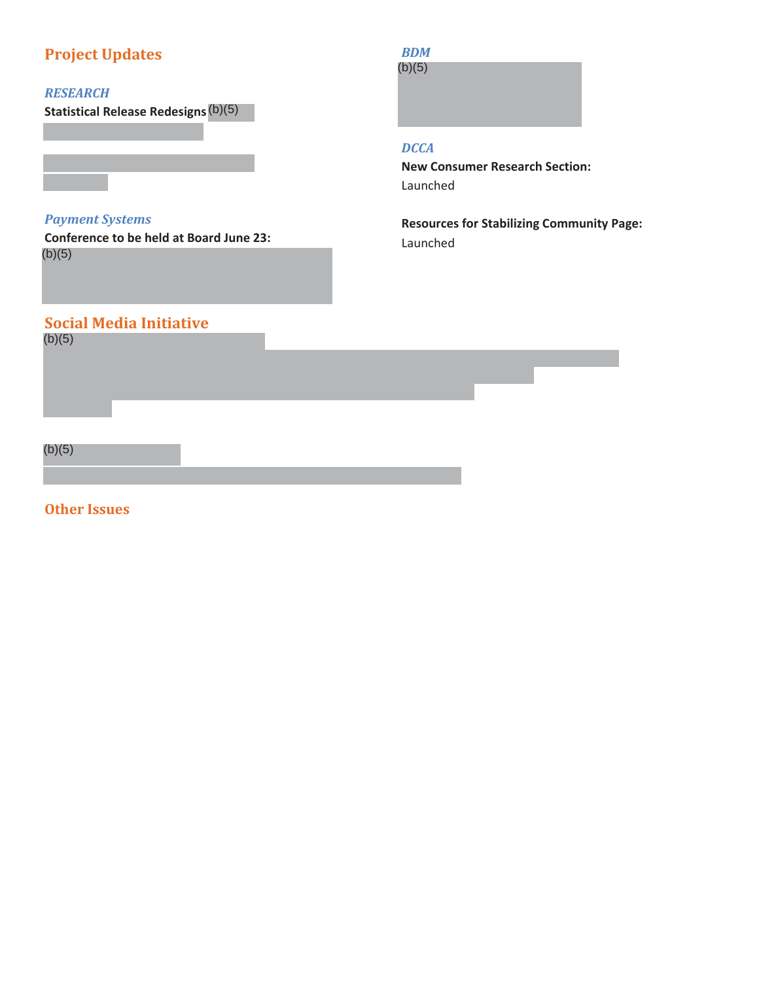# **Project Updates**

### *RESEARCH*

**Statistical Release Redesigns**  (b)(5)

*Payment Systems*

**Conference to be held at Board June 23:**  $(b)(5)$ 

### *BDM*

 $(b)(5)$ 

### *DCCA*

**New Consumer Research Section:** Launched

**Resources for Stabilizing Community Page:** Launched

### **Social Media Initiative**

(b)(5)

(b)(5)

**Other Issues**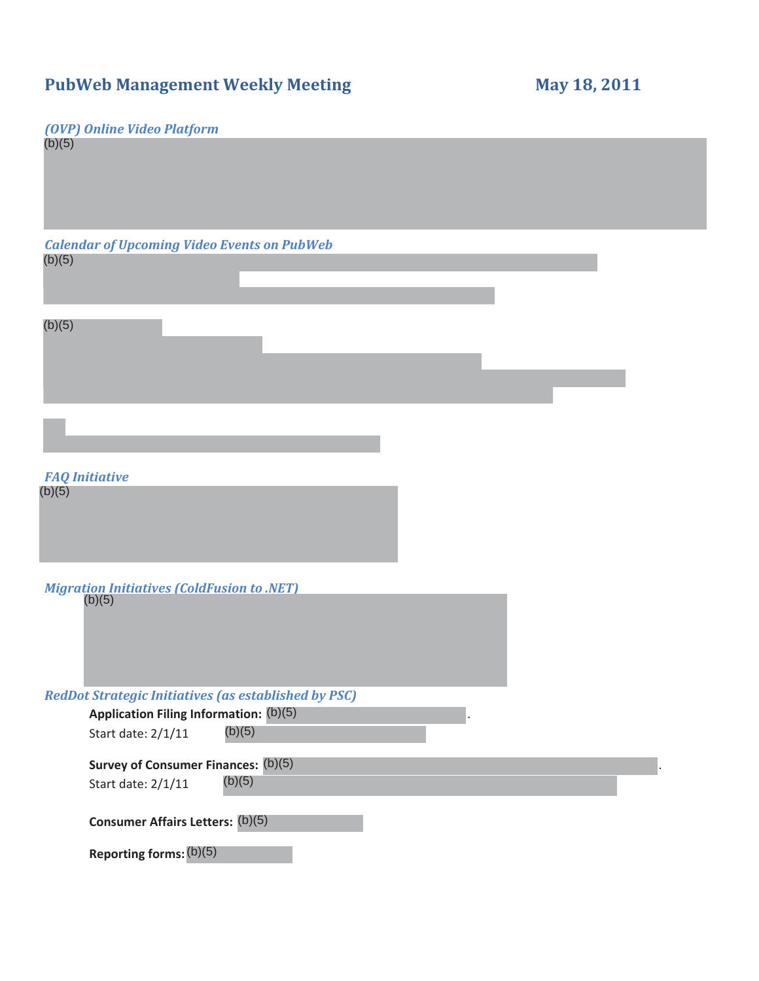# **PubWeb Management Weekly Meeting May 18, 2011**

| (OVP) Online Video Platform<br>(b)(5)                                                                                                 |
|---------------------------------------------------------------------------------------------------------------------------------------|
| <b>Calendar of Upcoming Video Events on PubWeb</b><br>(b)(5)                                                                          |
| (b)(5)                                                                                                                                |
|                                                                                                                                       |
| <b>FAQ Initiative</b><br>(b)(5)                                                                                                       |
| <b>Migration Initiatives (ColdFusion to .NET)</b><br>(b)(5)                                                                           |
| <b>RedDot Strategic Initiatives (as established by PSC)</b><br>Application Filing Information: (b)(5)<br>(b)(5)<br>Start date: 2/1/11 |
| Survey of Consumer Finances: (b)(5)<br>(b)(5)<br>Start date: 2/1/11                                                                   |
| Consumer Affairs Letters: (b)(5)<br><b>Reporting forms: (b)(5)</b>                                                                    |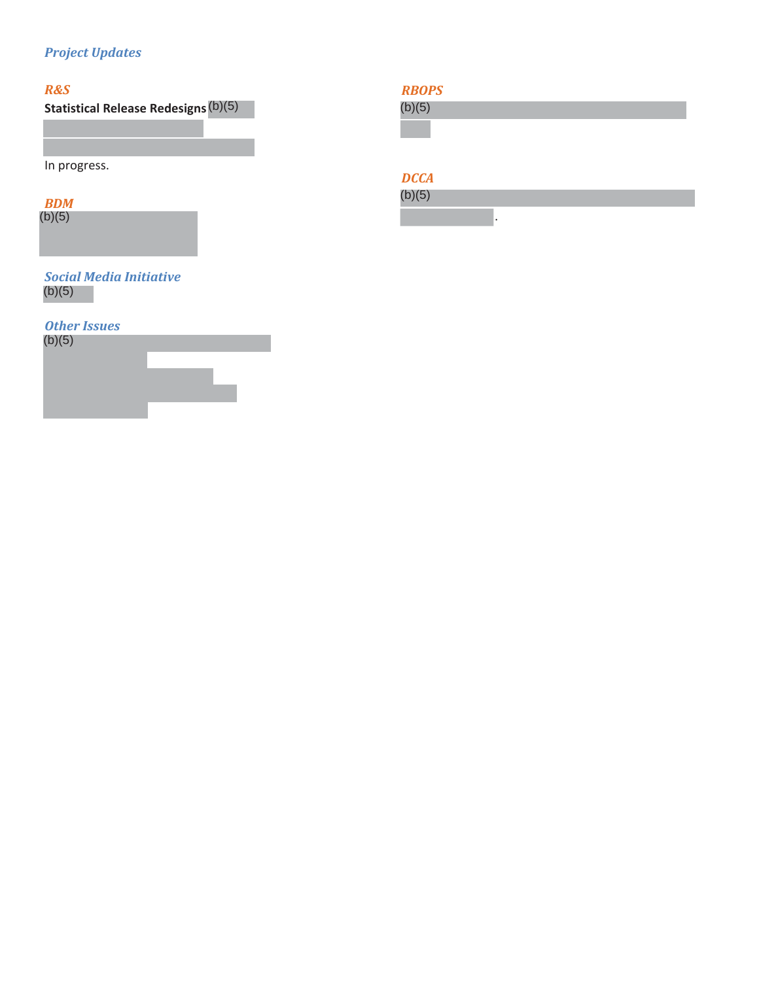### *Project Updates*

### *R&S*

**Statistical Release Redesigns**  (b)(5)

In progress.

*BDM*

(b)(5)

### *Social Media Initiative* (b)(5)



### *RBOPS*

(b)(5)

### *DCCA*  $(b)$

п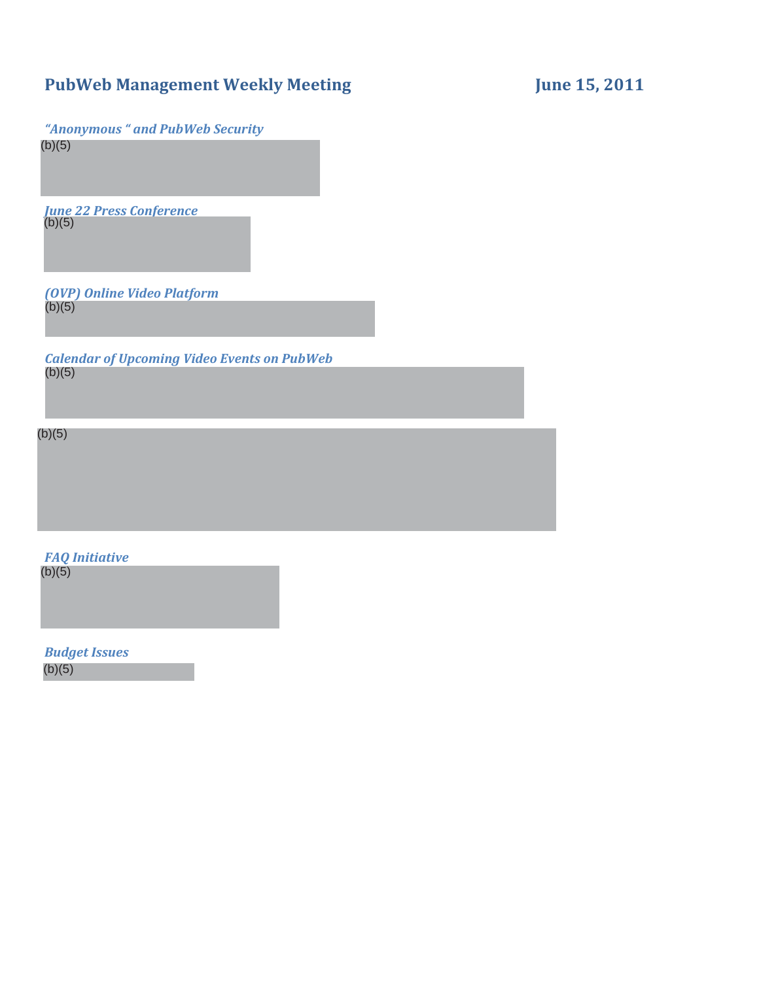# **PubWeb Management Weekly Meeting June 15, 2011**

*"Anonymous " and PubWeb Security* (b)(5)

*June 22 Press Conference*  $(b)(5)$ 

*(OVP) Online Video Platform*  $(b)(5)$ 

*Calendar of Upcoming Video Events on PubWeb*  $(b)(5)$ 

 $(b)(5)$ 

*FAQ Initiative*

 $(b)(5)$ 

*Budget Issues* (b)(5)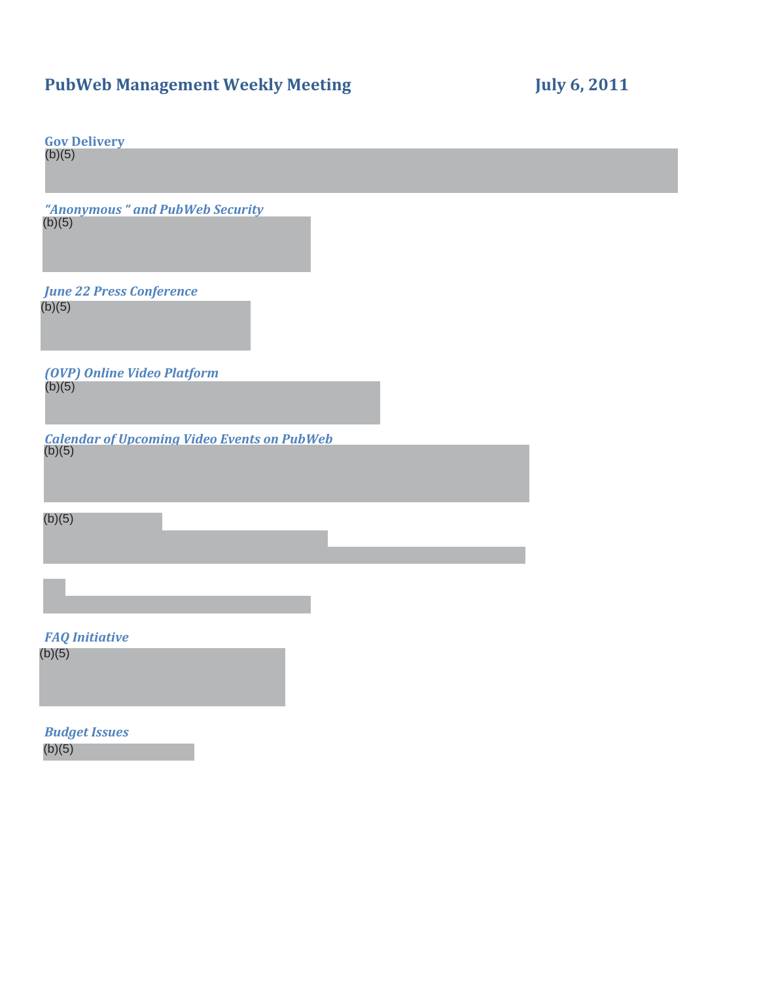# **PubWeb Management Weekly Meeting July 6, 2011**

| Gov Delivery<br>(b)(5)                                |
|-------------------------------------------------------|
|                                                       |
| "Anonymous " and PubWeb Security<br>(b)(5)            |
| <b>June 22 Press Conference</b><br>(b)(5)             |
| (OVP) Online Video Platform<br>(b)(5)                 |
| Calendar of Upcoming Video Events on PubWeb<br>(b)(5) |
| (b)(5)                                                |
|                                                       |
| <b>FAQ Initiative</b>                                 |
| (b)(5)                                                |
| <b>Budget Issues</b>                                  |
| (b)(5)                                                |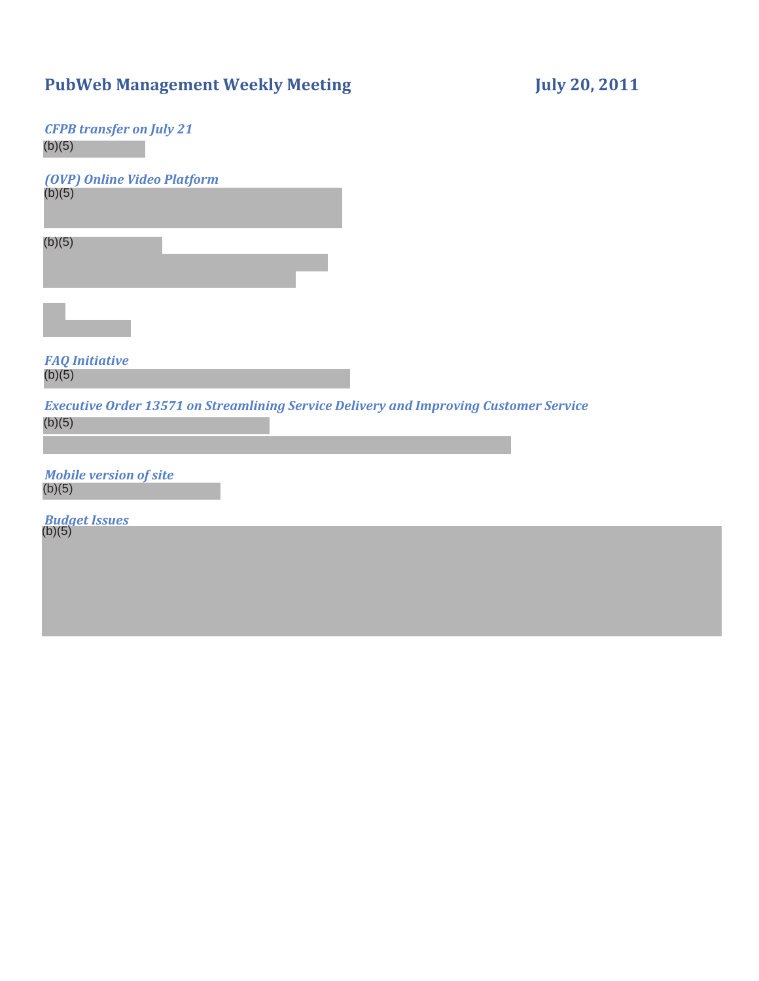# **PubWeb Management Weekly Meeting July 20, 2011**

*CFPB transfer on July 21* (b)(5)

*(OVP) Online Video Platform*  $(b)(5)$ (b)(5)

*FAQ Initiative*  $(b)(5)$ 

*Executive Order 13571 on Streamlining Service Delivery and Improving Customer Service* (b)(5)

*Mobile version of site* (b)(5)

*Budget Issues*  $(b)(5)$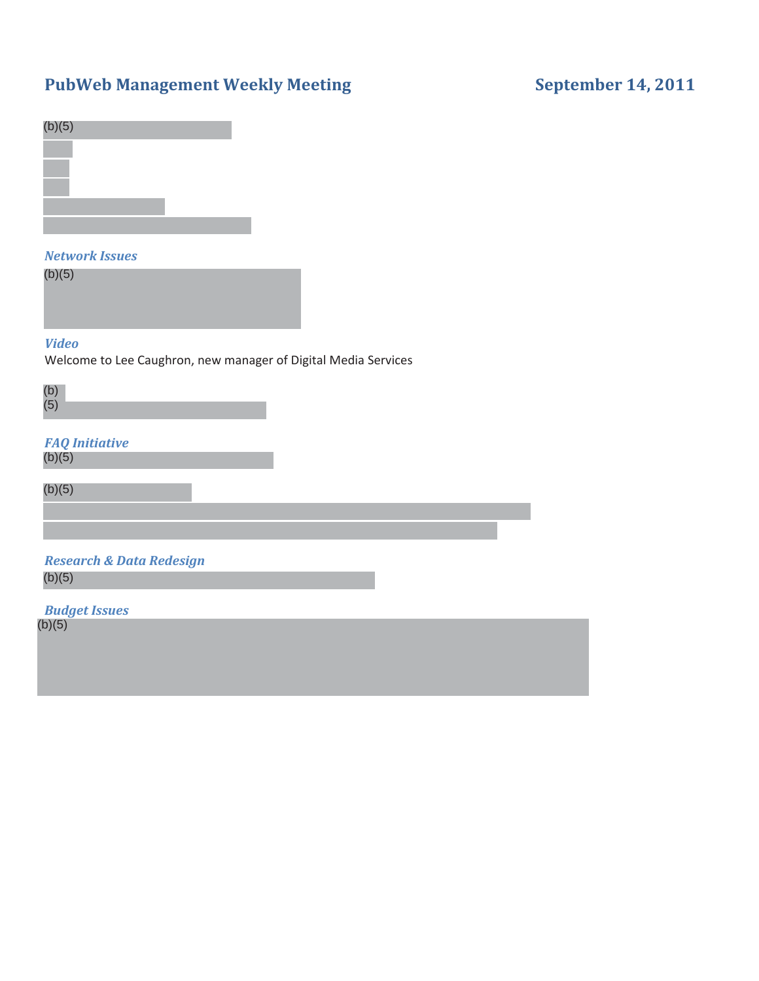# **PubWeb Management Weekly Meeting September 14, 2011**



### *Network Issues*



### *Video*

Welcome to Lee Caughron, new manager of Digital Media Services

(b)  $(5)$ 

### *FAQ Initiative*

 $(b)(5)$ 

 $(b)(5)$ 

### *Research & Data Redesign* (b)(5)

*Budget Issues*

(b)(5)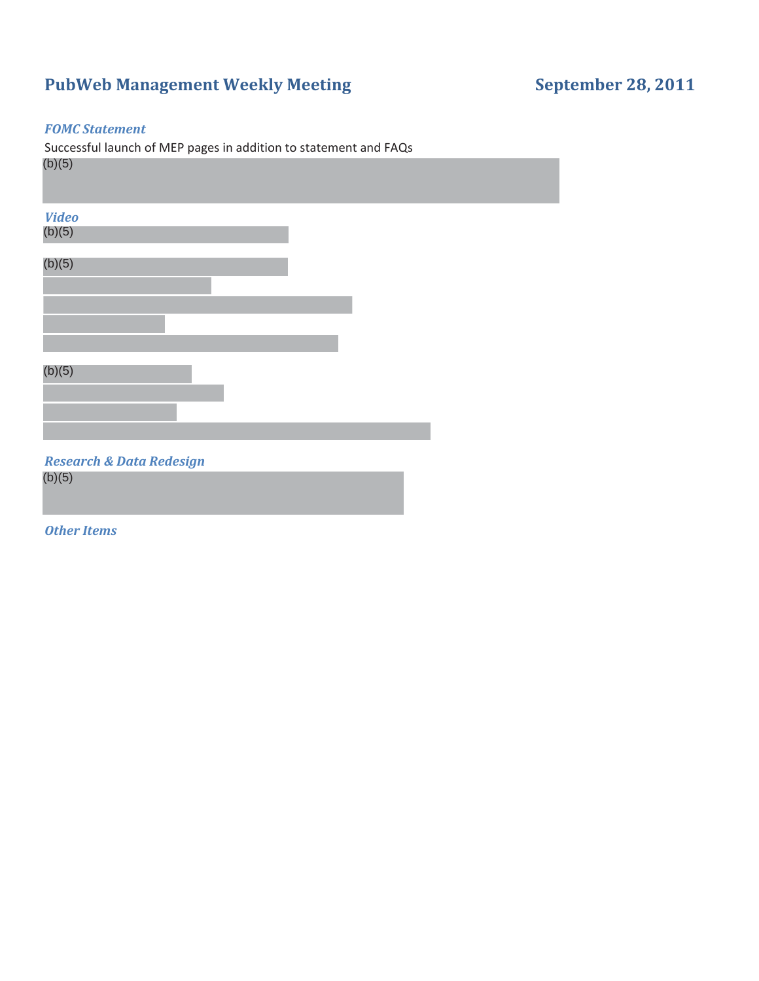# **PubWeb Management Weekly Meeting September 28, 2011**

### *FOMC Statement*

Successful launch of MEP pages in addition to statement and FAQs

| $\sim$<br>$\overline{\phantom{0}}$<br>(b)(5) |  |  |  |
|----------------------------------------------|--|--|--|
| <i>Video</i><br>(b)(5)                       |  |  |  |
|                                              |  |  |  |
| (b)(5)                                       |  |  |  |
|                                              |  |  |  |
|                                              |  |  |  |
|                                              |  |  |  |
|                                              |  |  |  |
| (b)(5)                                       |  |  |  |
|                                              |  |  |  |
|                                              |  |  |  |
|                                              |  |  |  |

*Research & Data Redesign*

(b)(5)

*Other Items*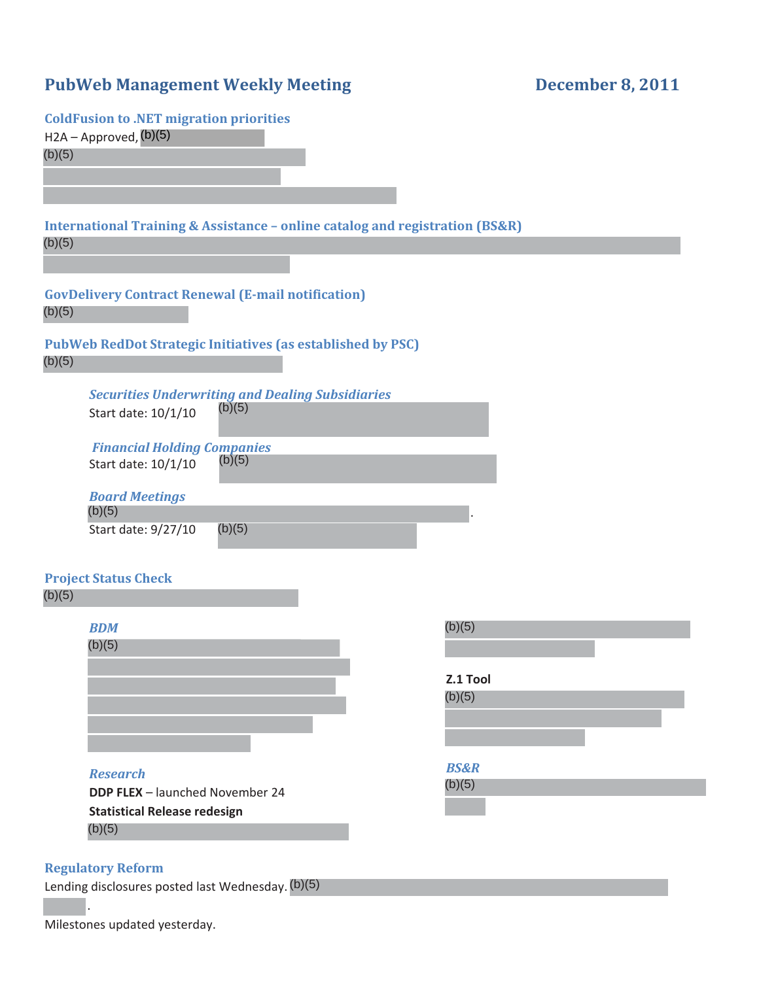# PubWeb Management Weekly Meeting **December 8, 2011**

| <b>ColdFusion to .NET migration priorities</b><br>$H2A - Approved, (b)(5)$                            |                    |
|-------------------------------------------------------------------------------------------------------|--------------------|
| (b)(5)                                                                                                |                    |
|                                                                                                       |                    |
| <b>International Training &amp; Assistance - online catalog and registration (BS&amp;R)</b><br>(b)(5) |                    |
| <b>GovDelivery Contract Renewal (E-mail notification)</b>                                             |                    |
| (b)(5)                                                                                                |                    |
| <b>PubWeb RedDot Strategic Initiatives (as established by PSC)</b><br>(b)(5)                          |                    |
| <b>Securities Underwriting and Dealing Subsidiaries</b><br>(b)(5)<br>Start date: 10/1/10              |                    |
| <b>Financial Holding Companies</b><br>Start date: 10/1/10 (b)(5)<br>Start date: 10/1/10               |                    |
| <b>Board Meetings</b><br>(b)(5)                                                                       |                    |
| Start date: 9/27/10<br>(b)(5)                                                                         |                    |
| <b>Project Status Check</b><br>(b)(5)                                                                 |                    |
| <b>BDM</b><br>(b)(5)                                                                                  | (b)(5)             |
|                                                                                                       |                    |
|                                                                                                       | Z.1 Tool<br>(b)(5) |
|                                                                                                       |                    |
|                                                                                                       |                    |
| <b>Research</b>                                                                                       | <b>BS&amp;R</b>    |
| <b>DDP FLEX</b> - launched November 24                                                                | (b)(5)             |
| <b>Statistical Release redesign</b>                                                                   |                    |
| (b)(5)                                                                                                |                    |
| <b>Regulatory Reform</b>                                                                              |                    |

Lending disclosures posted last Wednesday. (b)(5)

Milestones updated yesterday.

.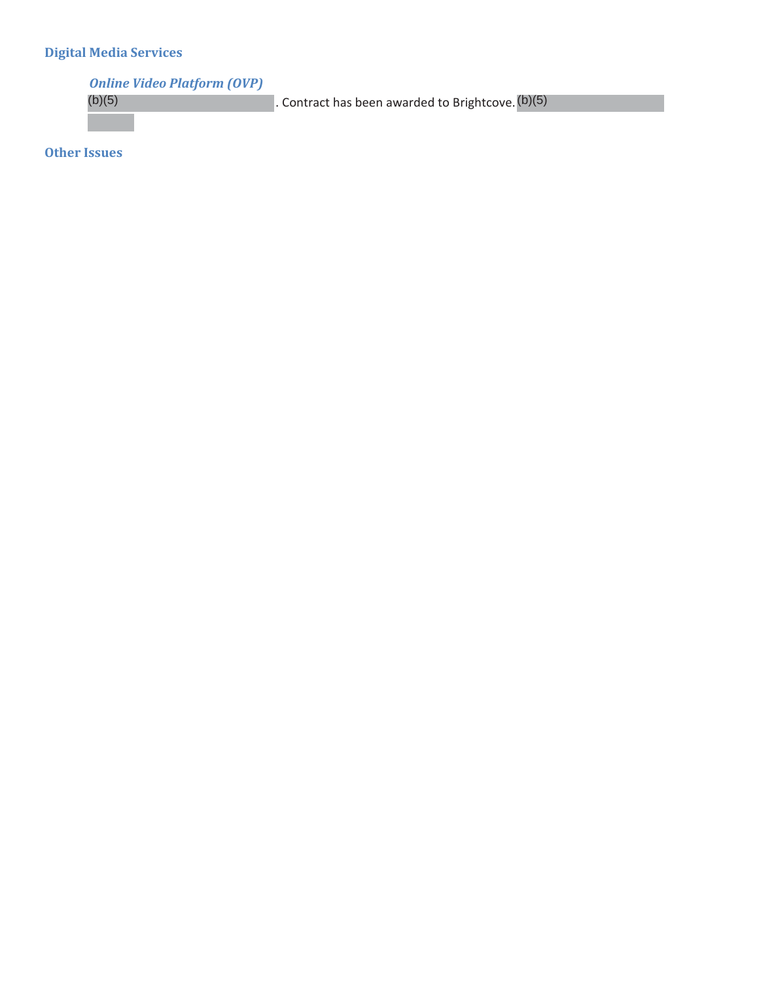### **Digital Media Services**

 *Online Video Platform (OVP)* 

(b)(5) (b) contract has been awarded to Brightcove. (b)(5)

**Other Issues**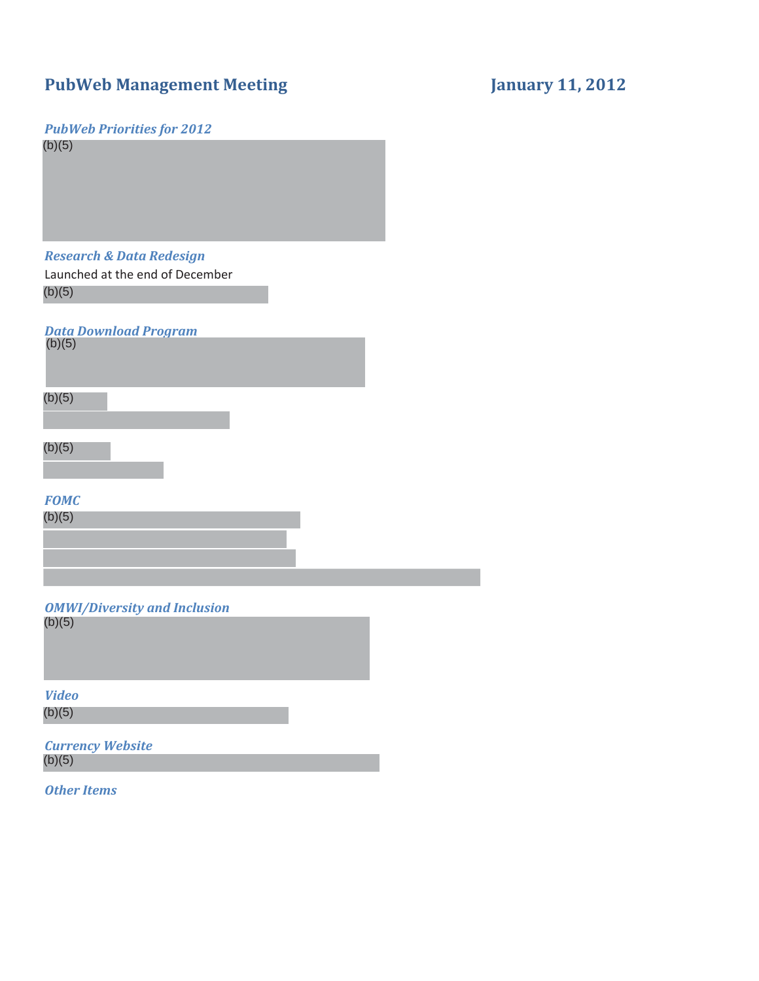# **PubWeb Management Meeting January 11, 2012**

*PubWeb Priorities for 2012*

(b)(5)

*Research & Data Redesign*

Launched at the end of December (b)(5)

| Data Download Program<br>(b)(5) |  |
|---------------------------------|--|
| (b)(5)                          |  |
| (b)(5)                          |  |
| <b>FOMC</b><br>(b)(5)           |  |
|                                 |  |

*OMWI/Diversity and Inclusion*

*Video*  $(b)(5)$  $(b)(5)$ 

*Currency Website* (b)(5)

*Other Items*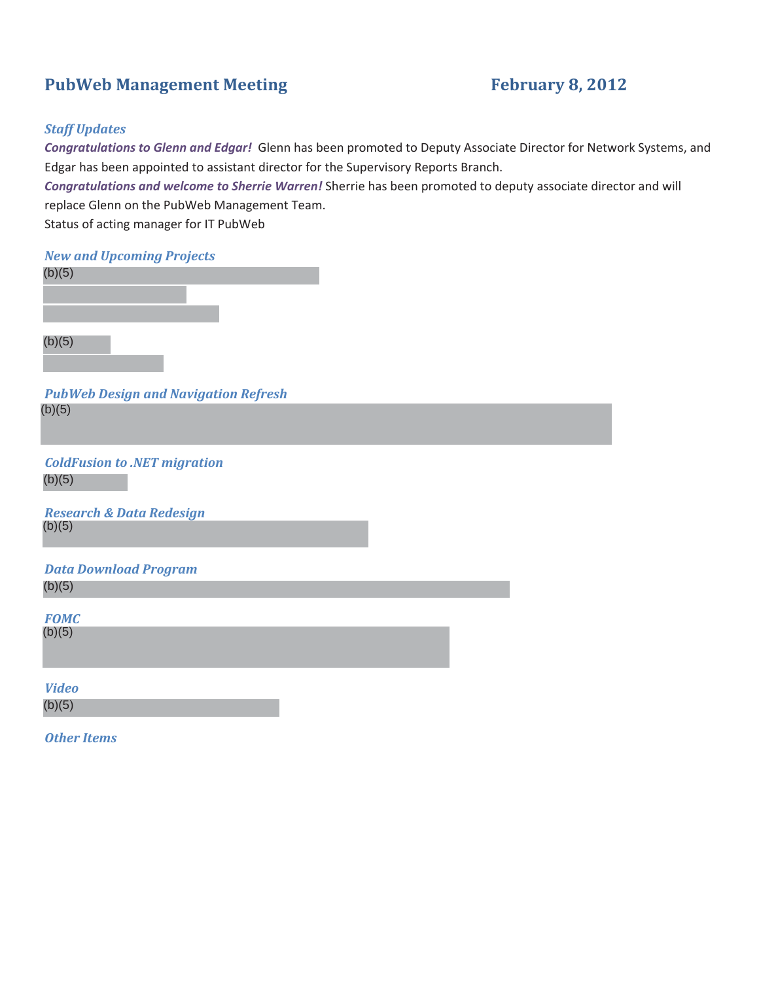### **PubWeb Management Meeting February 8, 2012**

### *Staff Updates*

*Congratulations to Glenn and Edgar!*Glenn has been promoted to Deputy Associate Director for Network Systems, and Edgar has been appointed to assistant director for the Supervisory Reports Branch.

*Congratulations and welcome to Sherrie Warren!* Sherrie has been promoted to deputy associate director and will replace Glenn on the PubWeb Management Team.

Status of acting manager for IT PubWeb

### *New and Upcoming Projects*

| (b)(5)                                        |
|-----------------------------------------------|
|                                               |
|                                               |
| (b)(5)                                        |
| <b>PubWeb Design and Navigation Refresh</b>   |
| (b)(5)                                        |
| <b>ColdFusion to .NET migration</b>           |
| (b)(5)                                        |
|                                               |
| <b>Research &amp; Data Redesign</b><br>(b)(5) |
|                                               |
| <b>Data Download Program</b>                  |
| (b)(5)                                        |
|                                               |
| <b>FOMC</b><br>(b)(5)                         |
|                                               |
|                                               |
| <b>Video</b>                                  |
| (b)(5)                                        |

*Other Items*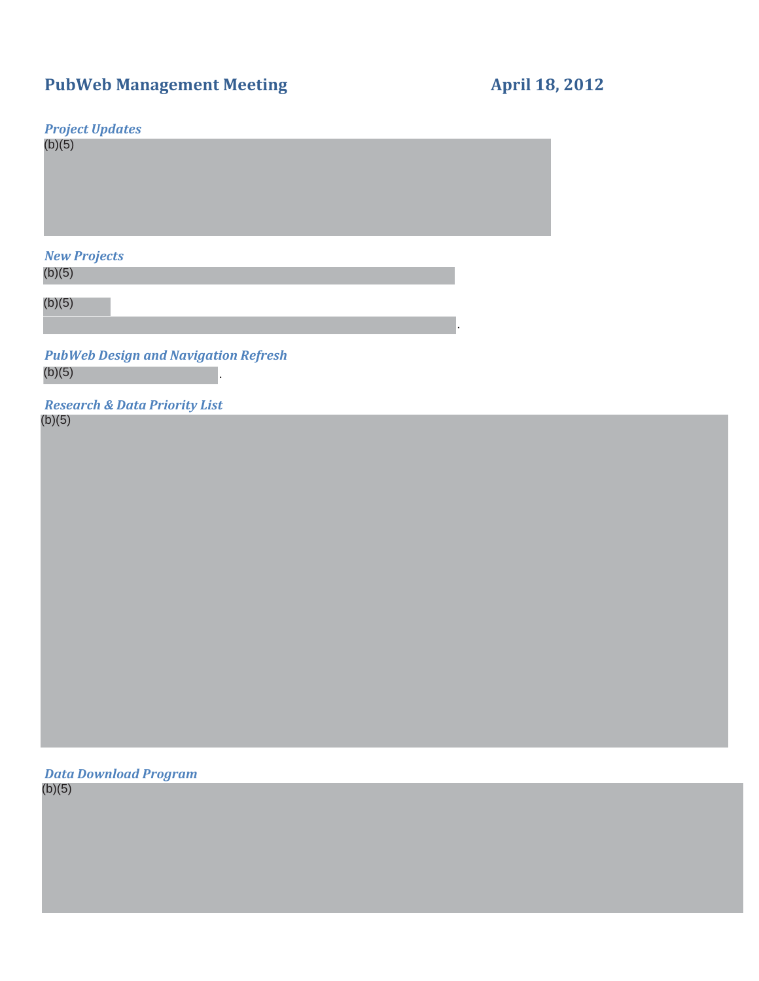# **PubWeb Management Meeting April 18, 2012**

*Project Updates New Projects* . *PubWeb Design and Navigation Refresh* . *Research & Data Priority List* (b)(5) (b)(5) (b)(5) (b)(5) (b)(5)

*Data Download Program* (b)(5)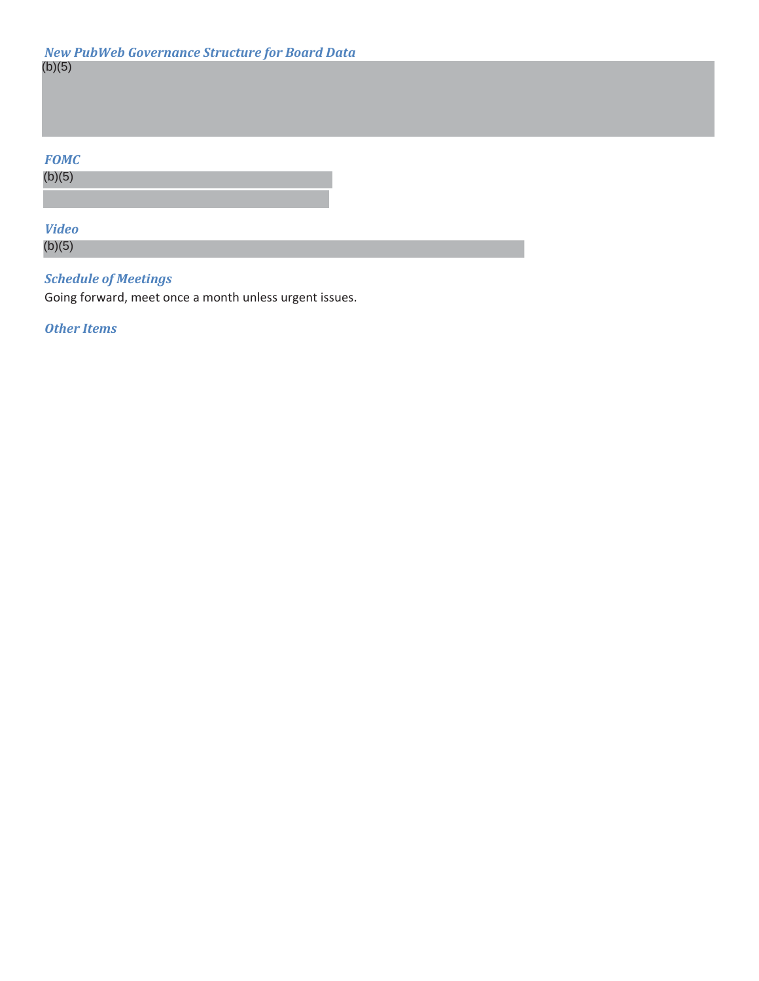### *FOMC*

(b)(5)

*Video*

(b)(5)

### *Schedule of Meetings*

Going forward, meet once a month unless urgent issues.

*Other Items*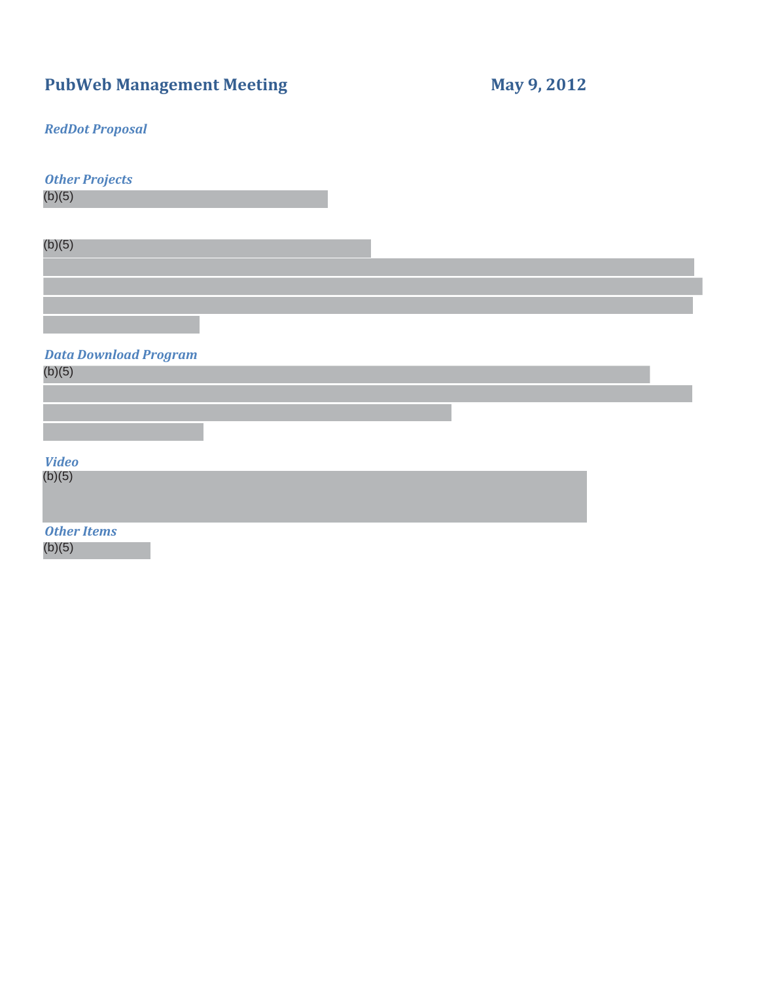# **PubWeb Management Meeting May 9, 2012**

### *RedDot Proposal*

### *Other Projects*

(b)(5)

| (b)(5)                       |  |
|------------------------------|--|
|                              |  |
|                              |  |
|                              |  |
|                              |  |
|                              |  |
| <b>Data Download Program</b> |  |
| (b)(5)                       |  |
|                              |  |

*Video*

 $(b)(5)$ 

*Other Items* (b)(5)